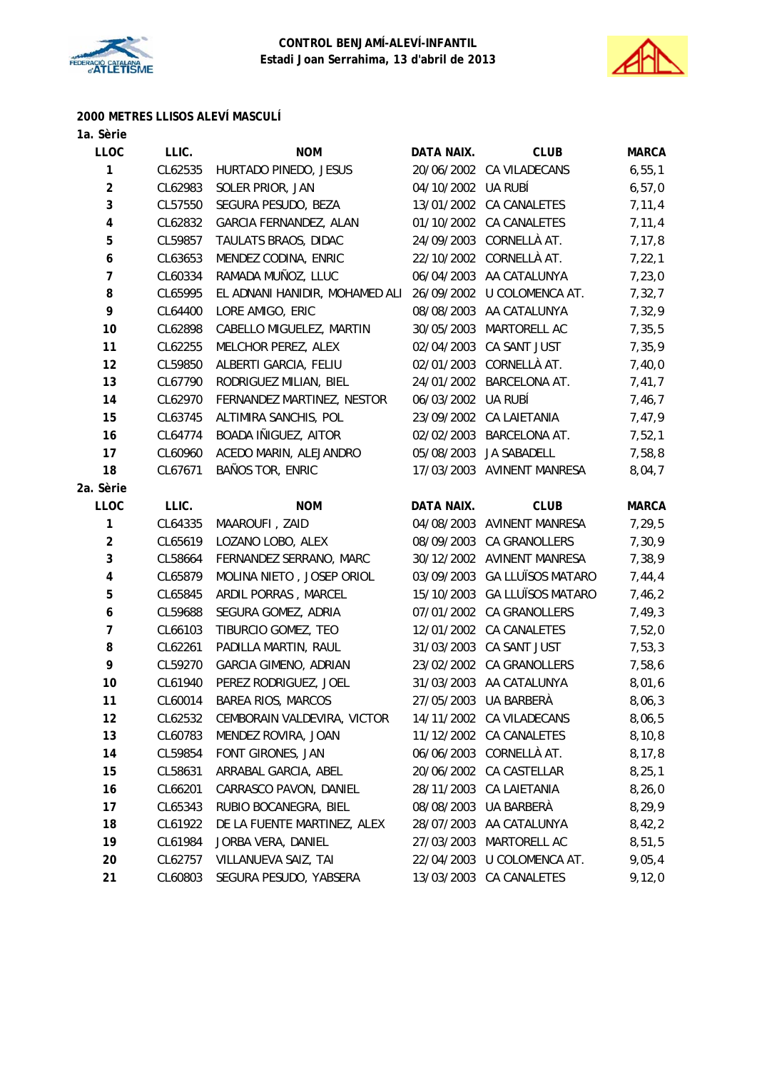



# **2000 METRES LLISOS ALEVÍ MASCULÍ**

| 1a. Sèrie               |         |                                |            |                            |              |
|-------------------------|---------|--------------------------------|------------|----------------------------|--------------|
| <b>LLOC</b>             | LLIC.   | <b>NOM</b>                     | DATA NAIX. | <b>CLUB</b>                | <b>MARCA</b> |
| 1                       | CL62535 | HURTADO PINEDO, JESUS          |            | 20/06/2002 CA VILADECANS   | 6, 55, 1     |
| $\overline{2}$          | CL62983 | SOLER PRIOR, JAN               | 04/10/2002 | UA RUBÍ                    | 6, 57, 0     |
| 3                       | CL57550 | SEGURA PESUDO, BEZA            | 13/01/2002 | <b>CA CANALETES</b>        | 7, 11, 4     |
| $\overline{\mathbf{4}}$ | CL62832 | GARCIA FERNANDEZ, ALAN         |            | 01/10/2002 CA CANALETES    | 7,11,4       |
| 5                       | CL59857 | TAULATS BRAOS, DIDAC           | 24/09/2003 | CORNELLÀ AT.               | 7, 17, 8     |
| 6                       | CL63653 | MENDEZ CODINA, ENRIC           | 22/10/2002 | CORNELLÀ AT.               | 7, 22, 1     |
| $\boldsymbol{7}$        | CL60334 | RAMADA MUÑOZ, LLUC             |            | 06/04/2003 AA CATALUNYA    | 7,23,0       |
| 8                       | CL65995 | EL ADNANI HANIDIR, MOHAMED ALI | 26/09/2002 | U COLOMENCA AT.            | 7,32,7       |
| 9                       | CL64400 | LORE AMIGO, ERIC               | 08/08/2003 | AA CATALUNYA               | 7,32,9       |
| 10                      | CL62898 | CABELLO MIGUELEZ, MARTIN       | 30/05/2003 | MARTORELL AC               | 7,35,5       |
| 11                      | CL62255 | MELCHOR PEREZ, ALEX            | 02/04/2003 | CA SANT JUST               | 7,35,9       |
| 12                      | CL59850 | ALBERTI GARCIA, FELIU          | 02/01/2003 | CORNELLÀ AT.               | 7,40,0       |
| 13                      | CL67790 | RODRIGUEZ MILIAN, BIEL         |            | 24/01/2002 BARCELONA AT.   | 7,41,7       |
| 14                      | CL62970 | FERNANDEZ MARTINEZ, NESTOR     | 06/03/2002 | UA RUBÍ                    | 7,46,7       |
| 15                      | CL63745 | ALTIMIRA SANCHIS, POL          | 23/09/2002 | <b>CA LAIETANIA</b>        | 7,47,9       |
| 16                      | CL64774 | BOADA IÑIGUEZ, AITOR           | 02/02/2003 | BARCELONA AT.              | 7,52,1       |
| 17                      | CL60960 | ACEDO MARIN, ALEJANDRO         | 05/08/2003 | JA SABADELL                | 7,58,8       |
| 18                      | CL67671 | BAÑOS TOR, ENRIC               |            | 17/03/2003 AVINENT MANRESA | 8,04,7       |
| 2a. Sèrie               |         |                                |            |                            |              |
| <b>LLOC</b>             | LLIC.   | <b>NOM</b>                     | DATA NAIX. | <b>CLUB</b>                | <b>MARCA</b> |
| 1                       | CL64335 | MAAROUFI, ZAID                 | 04/08/2003 | <b>AVINENT MANRESA</b>     | 7,29,5       |
| $\overline{\mathbf{c}}$ | CL65619 | LOZANO LOBO, ALEX              | 08/09/2003 | CA GRANOLLERS              | 7,30,9       |
| 3                       | CL58664 | FERNANDEZ SERRANO, MARC        |            | 30/12/2002 AVINENT MANRESA | 7,38,9       |
| 4                       | CL65879 | MOLINA NIETO, JOSEP ORIOL      | 03/09/2003 | <b>GA LLUÏSOS MATARO</b>   | 7,44,4       |
| 5                       | CL65845 | ARDIL PORRAS, MARCEL           | 15/10/2003 | <b>GA LLUÏSOS MATARO</b>   | 7,46,2       |
| 6                       | CL59688 | SEGURA GOMEZ, ADRIA            |            | 07/01/2002 CA GRANOLLERS   | 7,49,3       |
| $\overline{7}$          | CL66103 | TIBURCIO GOMEZ, TEO            | 12/01/2002 | <b>CA CANALETES</b>        | 7,52,0       |
| 8                       | CL62261 | PADILLA MARTIN, RAUL           | 31/03/2003 | CA SANT JUST               | 7,53,3       |
| 9                       | CL59270 | <b>GARCIA GIMENO, ADRIAN</b>   |            | 23/02/2002 CA GRANOLLERS   | 7,58,6       |
| 10                      | CL61940 | PEREZ RODRIGUEZ, JOEL          |            | 31/03/2003 AA CATALUNYA    | 8,01,6       |
| 11                      | CL60014 | <b>BAREA RIOS, MARCOS</b>      |            | 27/05/2003 UA BARBERÀ      | 8,06,3       |
| 12                      | CL62532 | CEMBORAIN VALDEVIRA, VICTOR    |            | 14/11/2002 CA VILADECANS   | 8,06,5       |
| 13                      | CL60783 | MENDEZ ROVIRA, JOAN            | 11/12/2002 | CA CANALETES               | 8,10,8       |
| 14                      | CL59854 | FONT GIRONES, JAN              | 06/06/2003 | CORNELLÀ AT.               | 8,17,8       |
| 15                      | CL58631 | ARRABAL GARCIA, ABEL           |            | 20/06/2002 CA CASTELLAR    | 8, 25, 1     |
| 16                      | CL66201 | CARRASCO PAVON, DANIEL         | 28/11/2003 | CA LAIETANIA               | 8,26,0       |
| 17                      | CL65343 | RUBIO BOCANEGRA, BIEL          | 08/08/2003 | UA BARBERÀ                 | 8,29,9       |
| 18                      | CL61922 | DE LA FUENTE MARTINEZ, ALEX    | 28/07/2003 | AA CATALUNYA               | 8,42,2       |
| 19                      | CL61984 | JORBA VERA, DANIEL             | 27/03/2003 | MARTORELL AC               | 8,51,5       |
| 20                      | CL62757 | VILLANUEVA SAIZ, TAI           | 22/04/2003 | U COLOMENCA AT.            | 9,05,4       |
| 21                      | CL60803 | SEGURA PESUDO, YABSERA         |            | 13/03/2003 CA CANALETES    | 9,12,0       |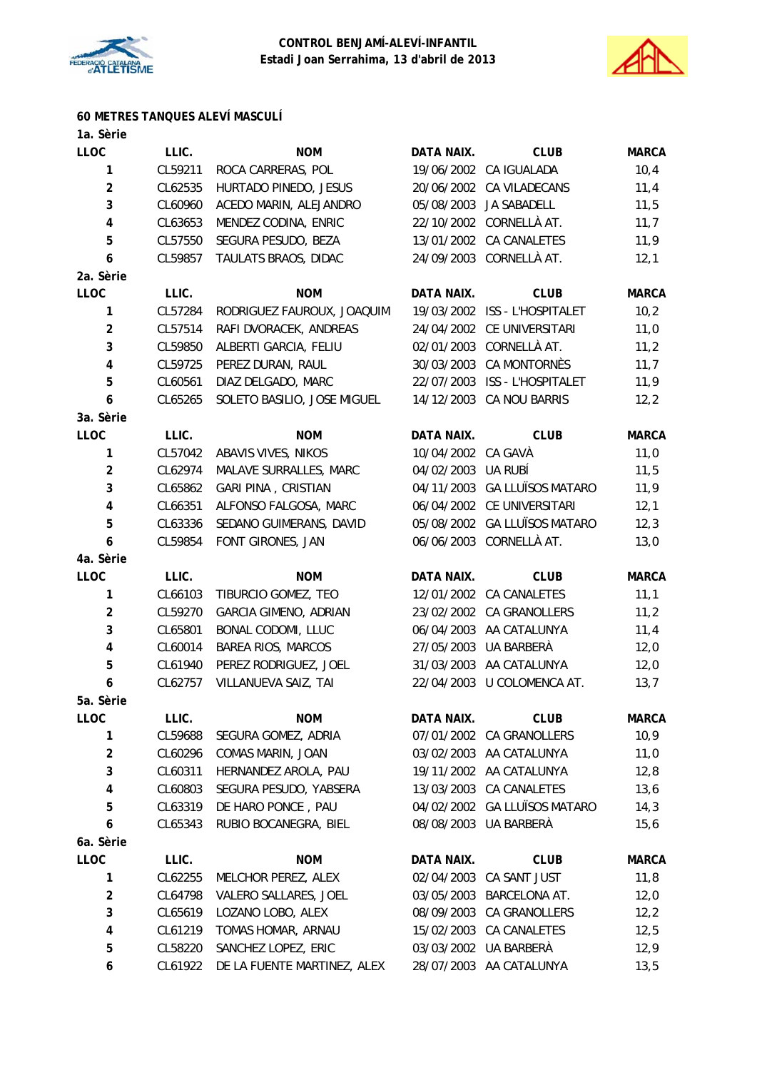



# **60 METRES TANQUES ALEVÍ MASCULÍ**

| 1a. Sèrie               |         |                              |                    |                              |              |
|-------------------------|---------|------------------------------|--------------------|------------------------------|--------------|
| <b>LLOC</b>             | LLIC.   | <b>NOM</b>                   | DATA NAIX.         | <b>CLUB</b>                  | <b>MARCA</b> |
| 1                       | CL59211 | ROCA CARRERAS, POL           |                    | 19/06/2002 CA IGUALADA       | 10,4         |
| $\overline{2}$          | CL62535 | HURTADO PINEDO, JESUS        | 20/06/2002         | CA VILADECANS                | 11,4         |
| 3                       | CL60960 | ACEDO MARIN, ALEJANDRO       | 05/08/2003         | JA SABADELL                  | 11,5         |
| $\pmb{4}$               | CL63653 | MENDEZ CODINA, ENRIC         |                    | 22/10/2002 CORNELLÀ AT.      | 11,7         |
| 5                       | CL57550 | SEGURA PESUDO, BEZA          |                    | 13/01/2002 CA CANALETES      | 11,9         |
| 6                       | CL59857 | TAULATS BRAOS, DIDAC         |                    | 24/09/2003 CORNELLÀ AT.      | 12,1         |
| 2a. Sèrie               |         |                              |                    |                              |              |
| <b>LLOC</b>             | LLIC.   | <b>NOM</b>                   | DATA NAIX.         | <b>CLUB</b>                  | <b>MARCA</b> |
| 1                       | CL57284 | RODRIGUEZ FAUROUX, JOAQUIM   | 19/03/2002         | ISS - L'HOSPITALET           | 10,2         |
| $\overline{c}$          | CL57514 | RAFI DVORACEK, ANDREAS       |                    | 24/04/2002 CE UNIVERSITARI   | 11,0         |
| $\mathbf 3$             | CL59850 | ALBERTI GARCIA, FELIU        |                    | 02/01/2003 CORNELLÀ AT.      | 11,2         |
| $\pmb{4}$               | CL59725 | PEREZ DURAN, RAUL            | 30/03/2003         | CA MONTORNÈS                 | 11,7         |
| 5                       | CL60561 | DIAZ DELGADO, MARC           | 22/07/2003         | ISS - L'HOSPITALET           | 11,9         |
| 6                       | CL65265 | SOLETO BASILIO, JOSE MIGUEL  |                    | 14/12/2003 CA NOU BARRIS     | 12,2         |
| 3a. Sèrie               |         |                              |                    |                              |              |
| <b>LLOC</b>             | LLIC.   | <b>NOM</b>                   | DATA NAIX.         | <b>CLUB</b>                  | <b>MARCA</b> |
| 1                       | CL57042 | ABAVIS VIVES, NIKOS          | 10/04/2002 CA GAVA |                              | 11,0         |
| $\overline{2}$          | CL62974 | MALAVE SURRALLES, MARC       | 04/02/2003         | UA RUBÍ                      | 11,5         |
| 3                       | CL65862 | <b>GARI PINA, CRISTIAN</b>   |                    | 04/11/2003 GA LLUÏSOS MATARO | 11,9         |
| $\overline{\mathbf{4}}$ | CL66351 | ALFONSO FALGOSA, MARC        |                    | 06/04/2002 CE UNIVERSITARI   | 12,1         |
| 5                       | CL63336 | SEDANO GUIMERANS, DAVID      |                    | 05/08/2002 GA LLUÏSOS MATARO | 12,3         |
| 6                       | CL59854 | FONT GIRONES, JAN            |                    | 06/06/2003 CORNELLÀ AT.      | 13,0         |
| 4a. Sèrie               |         |                              |                    |                              |              |
| <b>LLOC</b>             | LLIC.   | <b>NOM</b>                   | <b>DATA NAIX.</b>  | <b>CLUB</b>                  | <b>MARCA</b> |
| 1                       | CL66103 | TIBURCIO GOMEZ, TEO          |                    | 12/01/2002 CA CANALETES      | 11,1         |
| $\overline{2}$          | CL59270 | <b>GARCIA GIMENO, ADRIAN</b> |                    | 23/02/2002 CA GRANOLLERS     | 11,2         |
| 3                       | CL65801 | BONAL CODOMI, LLUC           |                    | 06/04/2003 AA CATALUNYA      | 11,4         |
| $\pmb{4}$               | CL60014 | BAREA RIOS, MARCOS           | 27/05/2003         | UA BARBERÀ                   | 12,0         |
| 5                       | CL61940 | PEREZ RODRIGUEZ, JOEL        |                    | 31/03/2003 AA CATALUNYA      | 12,0         |
| 6                       | CL62757 | VILLANUEVA SAIZ, TAI         |                    | 22/04/2003 U COLOMENCA AT.   | 13,7         |
| 5a. Sèrie               |         |                              |                    |                              |              |
| <b>LLOC</b>             | LLIC.   | <b>NOM</b>                   | DATA NAIX.         | <b>CLUB</b>                  | <b>MARCA</b> |
| 1                       | CL59688 | SEGURA GOMEZ, ADRIA          |                    | 07/01/2002 CA GRANOLLERS     | 10,9         |
| $\overline{2}$          | CL60296 | COMAS MARIN, JOAN            |                    | 03/02/2003 AA CATALUNYA      | 11,0         |
| 3                       | CL60311 | HERNANDEZ AROLA, PAU         |                    | 19/11/2002 AA CATALUNYA      | 12,8         |
| $\pmb{4}$               | CL60803 | SEGURA PESUDO, YABSERA       |                    | 13/03/2003 CA CANALETES      | 13,6         |
| 5                       | CL63319 | DE HARO PONCE, PAU           | 04/02/2002         | <b>GA LLUÏSOS MATARO</b>     | 14,3         |
| 6                       | CL65343 | RUBIO BOCANEGRA, BIEL        |                    | 08/08/2003 UA BARBERÀ        | 15,6         |
| 6a. Sèrie               |         |                              |                    |                              |              |
| <b>LLOC</b>             | LLIC.   | <b>NOM</b>                   | DATA NAIX.         | <b>CLUB</b>                  | <b>MARCA</b> |
| 1                       | CL62255 | MELCHOR PEREZ, ALEX          | 02/04/2003         | CA SANT JUST                 | 11,8         |
| $\overline{\mathbf{c}}$ | CL64798 | VALERO SALLARES, JOEL        | 03/05/2003         | BARCELONA AT.                | 12,0         |
| 3                       | CL65619 | LOZANO LOBO, ALEX            | 08/09/2003         | CA GRANOLLERS                | 12,2         |
| $\pmb{4}$               | CL61219 | TOMAS HOMAR, ARNAU           | 15/02/2003         | CA CANALETES                 | 12,5         |
| 5                       | CL58220 | SANCHEZ LOPEZ, ERIC          |                    | 03/03/2002 UA BARBERÀ        | 12,9         |
| 6                       | CL61922 | DE LA FUENTE MARTINEZ, ALEX  |                    | 28/07/2003 AA CATALUNYA      | 13,5         |
|                         |         |                              |                    |                              |              |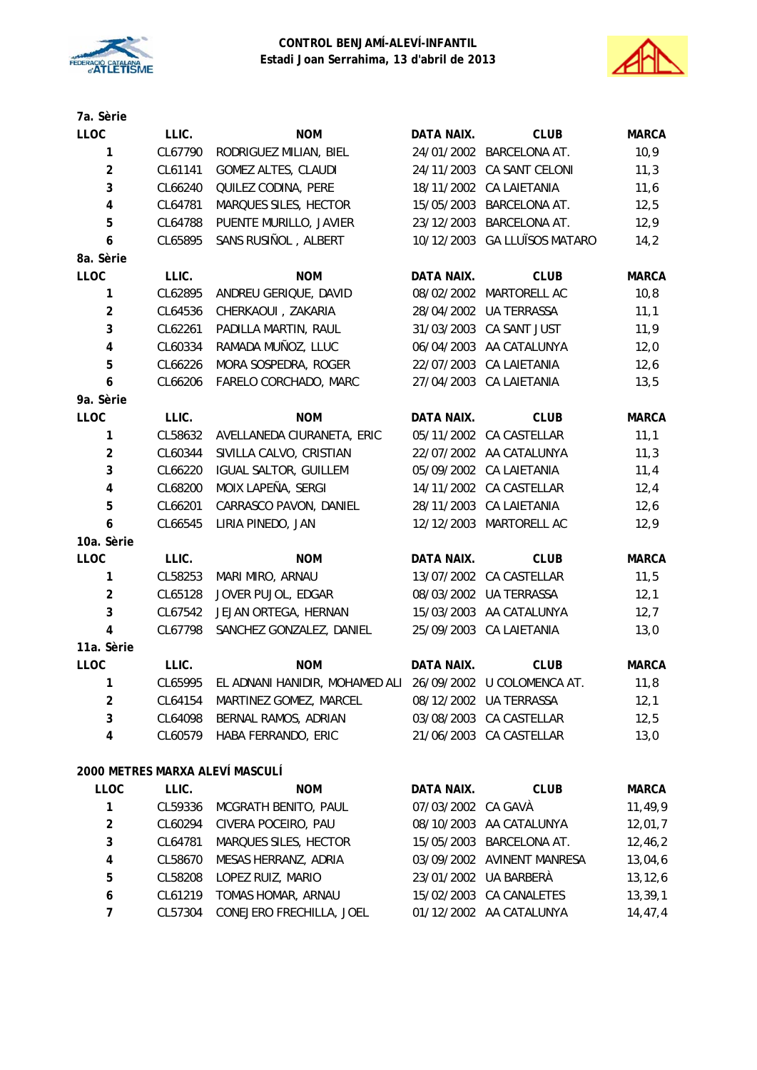



| 7a. Sèrie               |         |                                                                   |                    |                              |              |
|-------------------------|---------|-------------------------------------------------------------------|--------------------|------------------------------|--------------|
| <b>LLOC</b>             | LLIC.   | <b>NOM</b>                                                        | DATA NAIX.         | <b>CLUB</b>                  | <b>MARCA</b> |
| 1                       | CL67790 | RODRIGUEZ MILIAN, BIEL                                            |                    | 24/01/2002 BARCELONA AT.     | 10,9         |
| $\overline{2}$          | CL61141 | <b>GOMEZ ALTES, CLAUDI</b>                                        |                    | 24/11/2003 CA SANT CELONI    | 11,3         |
| 3                       | CL66240 | QUILEZ CODINA, PERE                                               |                    | 18/11/2002 CA LAIETANIA      | 11,6         |
| 4                       | CL64781 | MARQUES SILES, HECTOR                                             | 15/05/2003         | BARCELONA AT.                | 12,5         |
| 5                       | CL64788 | PUENTE MURILLO, JAVIER                                            | 23/12/2003         | BARCELONA AT.                | 12,9         |
| 6                       | CL65895 | SANS RUSIÑOL, ALBERT                                              |                    | 10/12/2003 GA LLUÏSOS MATARO | 14,2         |
| 8a. Sèrie               |         |                                                                   |                    |                              |              |
| LLOC                    | LLIC.   | <b>NOM</b>                                                        | <b>DATA NAIX.</b>  | <b>CLUB</b>                  | <b>MARCA</b> |
| 1                       | CL62895 | ANDREU GERIQUE, DAVID                                             |                    | 08/02/2002 MARTORELL AC      | 10,8         |
| $\overline{2}$          | CL64536 | CHERKAOUI, ZAKARIA                                                | 28/04/2002         | <b>UA TERRASSA</b>           | 11,1         |
| 3                       | CL62261 | PADILLA MARTIN, RAUL                                              | 31/03/2003         | CA SANT JUST                 | 11,9         |
| 4                       | CL60334 | RAMADA MUÑOZ, LLUC                                                |                    | 06/04/2003 AA CATALUNYA      | 12,0         |
| 5                       | CL66226 | MORA SOSPEDRA, ROGER                                              |                    | 22/07/2003 CA LAIETANIA      | 12,6         |
| 6                       | CL66206 | FARELO CORCHADO, MARC                                             |                    | 27/04/2003 CA LAIETANIA      | 13,5         |
| 9a. Sèrie               |         |                                                                   |                    |                              |              |
| LLOC                    | LLIC.   | <b>NOM</b>                                                        | DATA NAIX.         | <b>CLUB</b>                  | <b>MARCA</b> |
| 1                       | CL58632 | AVELLANEDA CIURANETA, ERIC                                        |                    | 05/11/2002 CA CASTELLAR      | 11,1         |
| $\overline{2}$          | CL60344 | SIVILLA CALVO, CRISTIAN                                           |                    | 22/07/2002 AA CATALUNYA      | 11,3         |
| 3                       | CL66220 | <b>IGUAL SALTOR, GUILLEM</b>                                      |                    | 05/09/2002 CA LAIETANIA      | 11,4         |
| $\overline{\mathbf{4}}$ | CL68200 | MOIX LAPEÑA, SERGI                                                |                    | 14/11/2002 CA CASTELLAR      | 12,4         |
| 5                       | CL66201 | CARRASCO PAVON, DANIEL                                            |                    | 28/11/2003 CA LAIETANIA      | 12,6         |
| 6                       | CL66545 | LIRIA PINEDO, JAN                                                 |                    | 12/12/2003 MARTORELL AC      | 12,9         |
| 10a. Sèrie              |         |                                                                   |                    |                              |              |
| <b>LLOC</b>             | LLIC.   | <b>NOM</b>                                                        | DATA NAIX.         | <b>CLUB</b>                  | <b>MARCA</b> |
| $\mathbf{1}$            | CL58253 | MARI MIRO, ARNAU                                                  |                    | 13/07/2002 CA CASTELLAR      | 11,5         |
| $\overline{2}$          | CL65128 | JOVER PUJOL, EDGAR                                                |                    | 08/03/2002 UA TERRASSA       | 12,1         |
| 3                       | CL67542 | JEJAN ORTEGA, HERNAN                                              |                    | 15/03/2003 AA CATALUNYA      | 12,7         |
| 4                       | CL67798 | SANCHEZ GONZALEZ, DANIEL                                          |                    | 25/09/2003 CA LAIETANIA      | 13,0         |
| 11a. Sèrie              |         |                                                                   |                    |                              |              |
| <b>LLOC</b>             | LLIC.   | <b>NOM</b>                                                        | <b>DATA NAIX.</b>  | <b>CLUB</b>                  | <b>MARCA</b> |
| $\mathbf{1}$            |         | CL65995 EL ADNANI HANIDIR, MOHAMED ALI 26/09/2002 U COLOMENCA AT. |                    |                              | 11,8         |
| $\overline{\mathbf{c}}$ | CL64154 | MARTINEZ GOMEZ, MARCEL                                            |                    | 08/12/2002 UA TERRASSA       | 12,1         |
| 3                       | CL64098 | BERNAL RAMOS, ADRIAN                                              |                    | 03/08/2003 CA CASTELLAR      | 12,5         |
| 4                       | CL60579 | HABA FERRANDO, ERIC                                               |                    | 21/06/2003 CA CASTELLAR      | 13,0         |
|                         |         | 2000 METRES MARXA ALEVÍ MASCULÍ                                   |                    |                              |              |
| <b>LLOC</b>             | LLIC.   | <b>NOM</b>                                                        | DATA NAIX.         | <b>CLUB</b>                  | <b>MARCA</b> |
| 1                       | CL59336 | MCGRATH BENITO, PAUL                                              | 07/03/2002 CA GAVÀ |                              | 11,49,9      |
| 2                       | CL60294 | CIVERA POCEIRO, PAU                                               | 08/10/2003         | AA CATALUNYA                 | 12,01,7      |
| 3                       | CL64781 | MARQUES SILES, HECTOR                                             |                    | 15/05/2003 BARCELONA AT.     | 12,46,2      |
| 4                       | CL58670 | MESAS HERRANZ, ADRIA                                              |                    | 03/09/2002 AVINENT MANRESA   | 13,04,6      |
| 5                       | CL58208 | LOPEZ RUIZ, MARIO                                                 |                    | 23/01/2002 UA BARBERÀ        | 13, 12, 6    |
| 6                       | CL61219 | TOMAS HOMAR, ARNAU                                                |                    | 15/02/2003 CA CANALETES      | 13,39,1      |
| 7                       | CL57304 | CONEJERO FRECHILLA, JOEL                                          |                    | 01/12/2002 AA CATALUNYA      | 14,47,4      |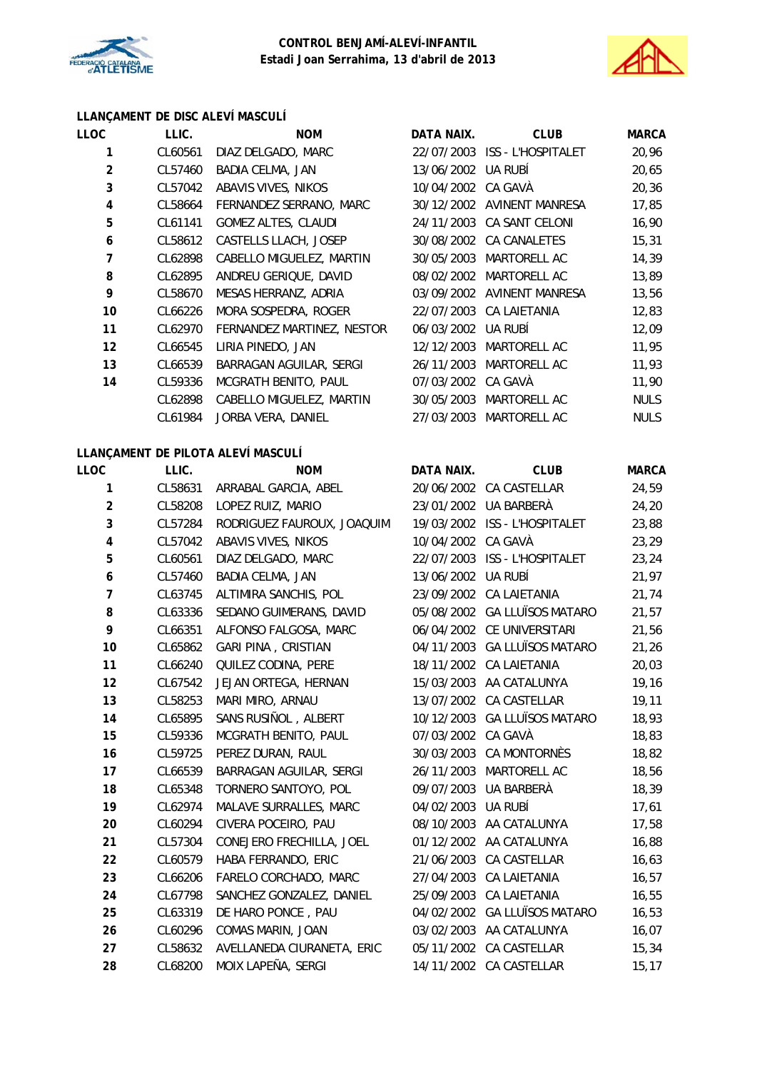



#### **LLANÇAMENT DE DISC ALEVÍ MASCULÍ**

| <b>LLOC</b>    | LLIC.   | <b>NOM</b>                 | DATA NAIX.         | <b>CLUB</b>                | <b>MARCA</b> |
|----------------|---------|----------------------------|--------------------|----------------------------|--------------|
| 1              | CL60561 | DIAZ DELGADO, MARC         | 22/07/2003         | <b>ISS - L'HOSPITALET</b>  | 20,96        |
| $\overline{2}$ | CL57460 | <b>BADIA CELMA, JAN</b>    | 13/06/2002         | UA RUBÍ                    | 20,65        |
| 3              | CL57042 | ABAVIS VIVES, NIKOS        | 10/04/2002 CA GAVA |                            | 20,36        |
| 4              | CL58664 | FERNANDEZ SERRANO, MARC    |                    | 30/12/2002 AVINENT MANRESA | 17,85        |
| 5              | CL61141 | <b>GOMEZ ALTES, CLAUDI</b> |                    | 24/11/2003 CA SANT CELONI  | 16,90        |
| 6              | CL58612 | CASTELLS LLACH, JOSEP      | 30/08/2002         | CA CANALETES               | 15,31        |
| 7              | CL62898 | CABELLO MIGUELEZ, MARTIN   | 30/05/2003         | MARTORELL AC               | 14,39        |
| 8              | CL62895 | ANDREU GERIQUE, DAVID      | 08/02/2002         | MARTORELL AC               | 13,89        |
| 9              | CL58670 | MESAS HERRANZ, ADRIA       | 03/09/2002         | AVINENT MANRESA            | 13,56        |
| 10             | CL66226 | MORA SOSPEDRA, ROGER       |                    | 22/07/2003 CA LAIETANIA    | 12,83        |
| 11             | CL62970 | FERNANDEZ MARTINEZ, NESTOR | 06/03/2002         | UA RUBÍ                    | 12,09        |
| 12             | CL66545 | LIRIA PINEDO, JAN          | 12/12/2003         | MARTORELL AC               | 11,95        |
| 13             | CL66539 | BARRAGAN AGUILAR, SERGI    | 26/11/2003         | MARTORELL AC               | 11,93        |
| 14             | CL59336 | MCGRATH BENITO, PAUL       | 07/03/2002         | CA GAVÀ                    | 11,90        |
|                | CL62898 | CABELLO MIGUELEZ, MARTIN   | 30/05/2003         | MARTORELL AC               | <b>NULS</b>  |
|                | CL61984 | JORBA VERA, DANIEL         | 27/03/2003         | <b>MARTORELL AC</b>        | <b>NULS</b>  |
|                |         |                            |                    |                            |              |

# **LLANÇAMENT DE PILOTA ALEVÍ MASCULÍ**

| LLOC           | LLIC.   | LLANGAMENT DE TILOTA ALL'ININSODER<br><b>NOM</b> | DATA NAIX.         | <b>CLUB</b>                   | <b>MARCA</b> |
|----------------|---------|--------------------------------------------------|--------------------|-------------------------------|--------------|
| $\mathbf{1}$   | CL58631 | ARRABAL GARCIA, ABEL                             |                    | 20/06/2002 CA CASTELLAR       | 24,59        |
| $\overline{2}$ | CL58208 | LOPEZ RUIZ, MARIO                                |                    | 23/01/2002 UA BARBERÀ         | 24,20        |
|                |         |                                                  |                    |                               |              |
| 3              | CL57284 | RODRIGUEZ FAUROUX, JOAQUIM                       |                    | 19/03/2002 ISS - L'HOSPITALET | 23,88        |
| 4              | CL57042 | ABAVIS VIVES, NIKOS                              | 10/04/2002 CA GAVÀ |                               | 23,29        |
| 5              | CL60561 | DIAZ DELGADO, MARC                               |                    | 22/07/2003 ISS - L'HOSPITALET | 23,24        |
| 6              | CL57460 | BADIA CELMA, JAN                                 | 13/06/2002 UA RUBÍ |                               | 21,97        |
| $\overline{7}$ | CL63745 | ALTIMIRA SANCHIS, POL                            |                    | 23/09/2002 CA LAIETANIA       | 21,74        |
| 8              | CL63336 | SEDANO GUIMERANS, DAVID                          |                    | 05/08/2002 GA LLUÏSOS MATARO  | 21,57        |
| 9              | CL66351 | ALFONSO FALGOSA, MARC                            |                    | 06/04/2002 CE UNIVERSITARI    | 21,56        |
| 10             | CL65862 | <b>GARI PINA, CRISTIAN</b>                       |                    | 04/11/2003 GA LLUÏSOS MATARO  | 21,26        |
| 11             | CL66240 | QUILEZ CODINA, PERE                              |                    | 18/11/2002 CA LAIETANIA       | 20,03        |
| 12             | CL67542 | JEJAN ORTEGA, HERNAN                             |                    | 15/03/2003 AA CATALUNYA       | 19,16        |
| 13             | CL58253 | MARI MIRO, ARNAU                                 |                    | 13/07/2002 CA CASTELLAR       | 19,11        |
| 14             | CL65895 | SANS RUSIÑOL, ALBERT                             |                    | 10/12/2003 GA LLUÏSOS MATARO  | 18,93        |
| 15             | CL59336 | MCGRATH BENITO, PAUL                             | 07/03/2002 CA GAVÀ |                               | 18,83        |
| 16             | CL59725 | PEREZ DURAN, RAUL                                | 30/03/2003         | CA MONTORNÈS                  | 18,82        |
| 17             | CL66539 | BARRAGAN AGUILAR, SERGI                          |                    | 26/11/2003 MARTORELL AC       | 18,56        |
| 18             | CL65348 | TORNERO SANTOYO, POL                             | 09/07/2003         | UA BARBERÀ                    | 18,39        |
| 19             | CL62974 | MALAVE SURRALLES, MARC                           | 04/02/2003 UA RUBÍ |                               | 17,61        |
| 20             | CL60294 | CIVERA POCEIRO, PAU                              |                    | 08/10/2003 AA CATALUNYA       | 17,58        |
| 21             | CL57304 | CONEJERO FRECHILLA, JOEL                         |                    | 01/12/2002 AA CATALUNYA       | 16,88        |
| 22             | CL60579 | HABA FERRANDO, ERIC                              |                    | 21/06/2003 CA CASTELLAR       | 16,63        |
| 23             | CL66206 | FARELO CORCHADO, MARC                            |                    | 27/04/2003 CA LAIETANIA       | 16, 57       |
| 24             | CL67798 | SANCHEZ GONZALEZ, DANIEL                         |                    | 25/09/2003 CA LAIETANIA       | 16, 55       |
| 25             | CL63319 | DE HARO PONCE, PAU                               | 04/02/2002         | <b>GA LLUÏSOS MATARO</b>      | 16, 53       |
| 26             | CL60296 | COMAS MARIN, JOAN                                |                    | 03/02/2003 AA CATALUNYA       | 16,07        |
| 27             | CL58632 | AVELLANEDA CIURANETA, ERIC                       | 05/11/2002         | CA CASTELLAR                  | 15,34        |
| 28             | CL68200 | MOIX LAPEÑA, SERGI                               |                    | 14/11/2002 CA CASTELLAR       | 15, 17       |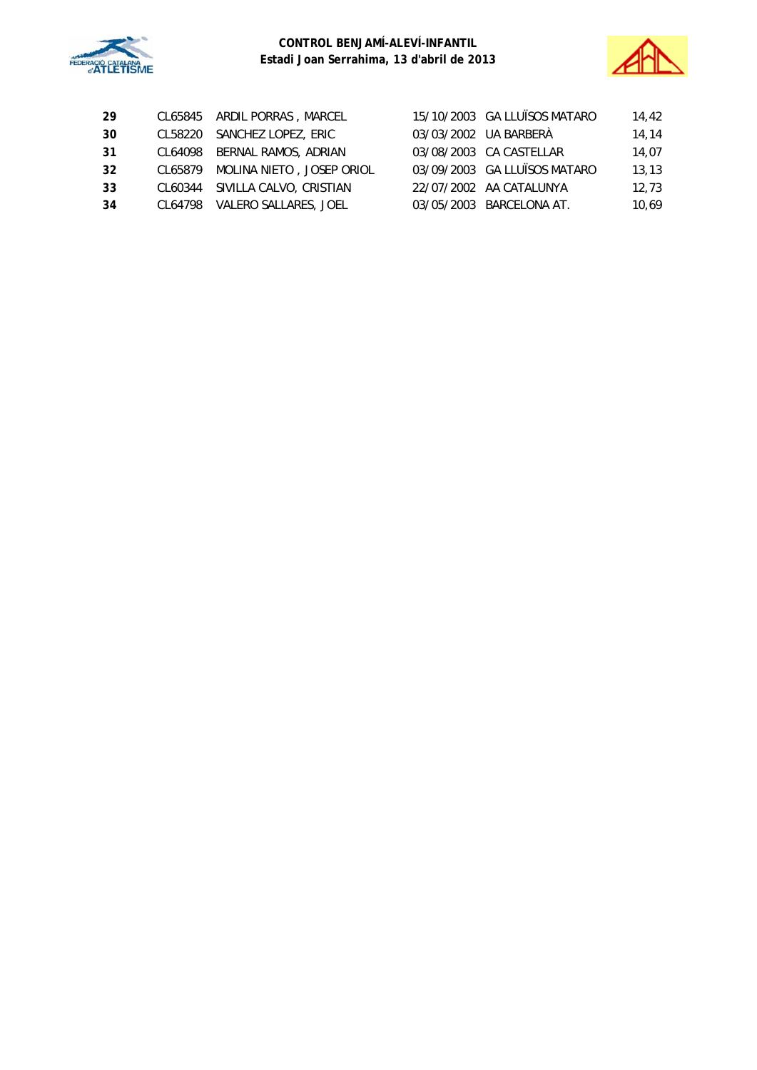



| -29 | CL65845 ARDIL PORRAS, MARCEL      | 15/10/2003 GA LLUÏSOS MATARO | 14.42 |
|-----|-----------------------------------|------------------------------|-------|
| 30  | CL58220 SANCHEZ LOPEZ, ERIC       | 03/03/2002 UA BARBERÀ        | 14,14 |
| -31 | CL64098 BERNAL RAMOS, ADRIAN      | 03/08/2003 CA CASTELLAR      | 14,07 |
| 32  | CL65879 MOLINA NIETO, JOSEP ORIOL | 03/09/2003 GA LLUÏSOS MATARO | 13,13 |
| 33  | CL60344 SIVILLA CALVO, CRISTIAN   | 22/07/2002 AA CATALUNYA      | 12.73 |
| -34 | CL64798 VALERO SALLARES, JOEL     | 03/05/2003 BARCELONA AT.     | 10.69 |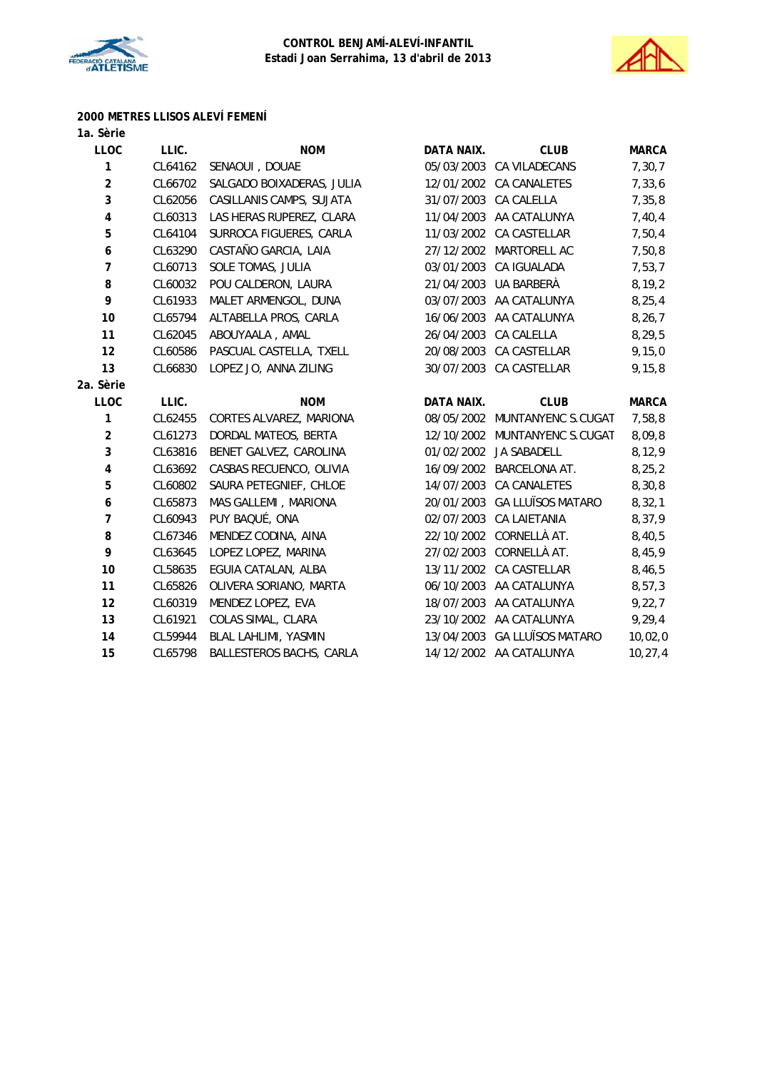



# **2000 METRES LLISOS ALEVÍ FEMENÍ**

| 1a. Sèrie        |         |                           |            |                               |              |
|------------------|---------|---------------------------|------------|-------------------------------|--------------|
| <b>LLOC</b>      | LLIC.   | <b>NOM</b>                | DATA NAIX. | <b>CLUB</b>                   | <b>MARCA</b> |
| 1                | CL64162 | SENAOUI, DOUAE            |            | 05/03/2003 CA VILADECANS      | 7, 30, 7     |
| $\overline{2}$   | CL66702 | SALGADO BOIXADERAS, JULIA | 12/01/2002 | CA CANALETES                  | 7,33,6       |
| 3                | CL62056 | CASILLANIS CAMPS, SUJATA  |            | 31/07/2003 CA CALELLA         | 7,35,8       |
| $\pmb{4}$        | CL60313 | LAS HERAS RUPEREZ, CLARA  |            | 11/04/2003 AA CATALUNYA       | 7,40,4       |
| 5                | CL64104 | SURROCA FIGUERES, CARLA   | 11/03/2002 | <b>CA CASTELLAR</b>           | 7,50,4       |
| $\boldsymbol{6}$ | CL63290 | CASTAÑO GARCIA, LAIA      | 27/12/2002 | MARTORELL AC                  | 7,50,8       |
| $\overline{7}$   | CL60713 | SOLE TOMAS, JULIA         |            | 03/01/2003 CA IGUALADA        | 7,53,7       |
| 8                | CL60032 | POU CALDERON, LAURA       | 21/04/2003 | UA BARBERÀ                    | 8, 19, 2     |
| 9                | CL61933 | MALET ARMENGOL, DUNA      |            | 03/07/2003 AA CATALUNYA       | 8, 25, 4     |
| 10               | CL65794 | ALTABELLA PROS, CARLA     |            | 16/06/2003 AA CATALUNYA       | 8, 26, 7     |
| 11               | CL62045 | ABOUYAALA, AMAL           | 26/04/2003 | CA CALELLA                    | 8,29,5       |
| 12               | CL60586 | PASCUAL CASTELLA, TXELL   |            | 20/08/2003 CA CASTELLAR       | 9, 15, 0     |
| 13               | CL66830 | LOPEZ JO, ANNA ZILING     |            | 30/07/2003 CA CASTELLAR       | 9, 15, 8     |
| 2a. Sèrie        |         |                           |            |                               |              |
| <b>LLOC</b>      | LLIC.   | <b>NOM</b>                | DATA NAIX. | <b>CLUB</b>                   | <b>MARCA</b> |
| 1                | CL62455 | CORTES ALVAREZ, MARIONA   |            | 08/05/2002 MUNTANYENC S.CUGAT | 7,58,8       |
| $\overline{2}$   | CL61273 | DORDAL MATEOS, BERTA      | 12/10/2002 | MUNTANYENC S.CUGAT            | 8,09,8       |
| 3                | CL63816 | BENET GALVEZ, CAROLINA    |            | 01/02/2002 JA SABADELL        | 8, 12, 9     |
| $\pmb{4}$        | CL63692 | CASBAS RECUENCO, OLIVIA   | 16/09/2002 | <b>BARCELONA AT.</b>          | 8, 25, 2     |
| 5                | CL60802 | SAURA PETEGNIEF, CHLOE    | 14/07/2003 | CA CANALETES                  | 8,30,8       |
| $\boldsymbol{6}$ | CL65873 | MAS GALLEMI, MARIONA      |            | 20/01/2003 GA LLUÏSOS MATARO  | 8,32,1       |
| $\overline{7}$   | CL60943 | PUY BAQUÉ, ONA            | 02/07/2003 | CA LAIETANIA                  | 8,37,9       |
| 8                | CL67346 | MENDEZ CODINA, AINA       |            | 22/10/2002 CORNELLÀ AT.       | 8,40,5       |
| 9                | CL63645 | LOPEZ LOPEZ, MARINA       |            | 27/02/2003 CORNELLÀ AT.       | 8,45,9       |
| 10               | CL58635 | EGUIA CATALAN, ALBA       | 13/11/2002 | CA CASTELLAR                  | 8,46,5       |
| 11               | CL65826 | OLIVERA SORIANO, MARTA    |            | 06/10/2003 AA CATALUNYA       | 8,57,3       |
| 12               | CL60319 | MENDEZ LOPEZ, EVA         |            | 18/07/2003 AA CATALUNYA       | 9,22,7       |
| 13               | CL61921 | COLAS SIMAL, CLARA        |            | 23/10/2002 AA CATALUNYA       | 9, 29, 4     |
| 14               |         |                           |            |                               |              |
|                  | CL59944 | BLAL LAHLIMI, YASMIN      |            | 13/04/2003 GA LLUÏSOS MATARO  | 10,02,0      |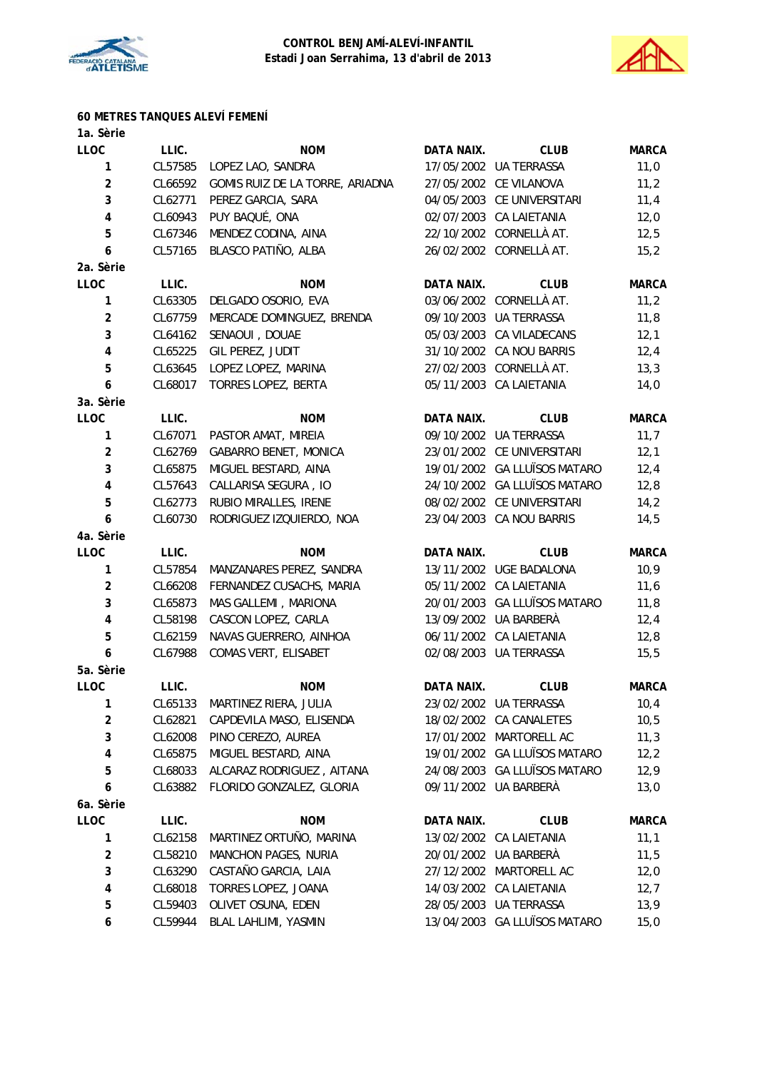



# **60 METRES TANQUES ALEVÍ FEMENÍ**

| 1a. Sèrie                    |         |                                 |            |                              |              |
|------------------------------|---------|---------------------------------|------------|------------------------------|--------------|
| LLOC                         | LLIC.   | <b>NOM</b>                      | DATA NAIX. | <b>CLUB</b>                  | <b>MARCA</b> |
| 1                            | CL57585 | LOPEZ LAO, SANDRA               |            | 17/05/2002 UA TERRASSA       | 11,0         |
| $\overline{2}$               | CL66592 | GOMIS RUIZ DE LA TORRE, ARIADNA |            | 27/05/2002 CE VILANOVA       | 11,2         |
| 3                            | CL62771 | PEREZ GARCIA, SARA              |            | 04/05/2003 CE UNIVERSITARI   | 11,4         |
| $\pmb{4}$                    | CL60943 | PUY BAQUÉ, ONA                  |            | 02/07/2003 CA LAIETANIA      | 12,0         |
| 5                            | CL67346 | MENDEZ CODINA, AINA             |            | 22/10/2002 CORNELLÀ AT.      | 12,5         |
| 6                            | CL57165 | BLASCO PATIÑO, ALBA             |            | 26/02/2002 CORNELLÀ AT.      | 15,2         |
| 2a. Sèrie                    |         |                                 |            |                              |              |
| LLOC                         | LLIC.   | <b>NOM</b>                      | DATA NAIX. | <b>CLUB</b>                  | <b>MARCA</b> |
| $\mathbf{1}$                 | CL63305 | DELGADO OSORIO, EVA             |            | 03/06/2002 CORNELLÀ AT.      | 11,2         |
| $\overline{2}$               | CL67759 | MERCADE DOMINGUEZ, BRENDA       |            | 09/10/2003 UA TERRASSA       | 11,8         |
| 3                            | CL64162 | SENAOUI, DOUAE                  |            | 05/03/2003 CA VILADECANS     | 12,1         |
| 4                            | CL65225 | GIL PEREZ, JUDIT                |            | 31/10/2002 CA NOU BARRIS     | 12,4         |
| 5                            | CL63645 | LOPEZ LOPEZ, MARINA             |            | 27/02/2003 CORNELLÀ AT.      | 13,3         |
| 6                            | CL68017 | TORRES LOPEZ, BERTA             |            | 05/11/2003 CA LAIETANIA      | 14,0         |
| 3a. Sèrie                    |         |                                 |            |                              |              |
| <b>LLOC</b>                  | LLIC.   | <b>NOM</b>                      | DATA NAIX. | <b>CLUB</b>                  | <b>MARCA</b> |
| 1                            | CL67071 | PASTOR AMAT, MIREIA             |            | 09/10/2002 UA TERRASSA       | 11,7         |
| $\boldsymbol{2}$             | CL62769 | <b>GABARRO BENET, MONICA</b>    |            | 23/01/2002 CE UNIVERSITARI   | 12,1         |
| 3                            | CL65875 | MIGUEL BESTARD, AINA            |            | 19/01/2002 GA LLUÏSOS MATARO | 12,4         |
| 4                            | CL57643 | CALLARISA SEGURA, IO            |            | 24/10/2002 GA LLUÏSOS MATARO | 12,8         |
| 5                            | CL62773 | RUBIO MIRALLES, IRENE           |            | 08/02/2002 CE UNIVERSITARI   | 14,2         |
| 6                            | CL60730 | RODRIGUEZ IZQUIERDO, NOA        |            | 23/04/2003 CA NOU BARRIS     | 14,5         |
| 4a. Sèrie                    |         |                                 |            |                              |              |
| <b>LLOC</b>                  | LLIC.   | <b>NOM</b>                      | DATA NAIX. | <b>CLUB</b>                  | <b>MARCA</b> |
| 1                            | CL57854 | MANZANARES PEREZ, SANDRA        |            | 13/11/2002 UGE BADALONA      | 10,9         |
| $\overline{\mathbf{c}}$      | CL66208 | FERNANDEZ CUSACHS, MARIA        |            | 05/11/2002 CA LAIETANIA      | 11,6         |
| 3                            | CL65873 | MAS GALLEMI, MARIONA            |            | 20/01/2003 GA LLUÏSOS MATARO | 11,8         |
| $\pmb{4}$                    | CL58198 | CASCON LOPEZ, CARLA             |            | 13/09/2002 UA BARBERÀ        | 12,4         |
| 5                            | CL62159 | NAVAS GUERRERO, AINHOA          |            | 06/11/2002 CA LAIETANIA      | 12,8         |
| 6                            | CL67988 | COMAS VERT, ELISABET            |            | 02/08/2003 UA TERRASSA       | 15,5         |
| 5a. Sèrie                    |         |                                 |            |                              |              |
| <b>LLOC</b>                  | LLIC.   | <b>NOM</b>                      | DATA NAIX. | <b>CLUB</b>                  | <b>MARCA</b> |
| 1                            | CL65133 | MARTINEZ RIERA, JULIA           |            | 23/02/2002 UA TERRASSA       | 10,4         |
| $\overline{\mathbf{c}}$      | CL62821 | CAPDEVILA MASO, ELISENDA        |            | 18/02/2002 CA CANALETES      | 10,5         |
| 3                            | CL62008 | PINO CEREZO, AUREA              |            | 17/01/2002 MARTORELL AC      | 11,3         |
| 4                            | CL65875 | MIGUEL BESTARD, AINA            |            | 19/01/2002 GA LLUÏSOS MATARO | 12,2         |
| 5                            | CL68033 | ALCARAZ RODRIGUEZ, AITANA       |            | 24/08/2003 GA LLUÏSOS MATARO | 12,9         |
| 6                            | CL63882 | FLORIDO GONZALEZ, GLORIA        |            | 09/11/2002 UA BARBERÀ        | 13,0         |
| 6a. Sèrie                    |         |                                 |            |                              |              |
| <b>LLOC</b>                  | LLIC.   | <b>NOM</b>                      | DATA NAIX. | <b>CLUB</b>                  | <b>MARCA</b> |
| 1                            | CL62158 | MARTINEZ ORTUÑO, MARINA         | 13/02/2002 | CA LAIETANIA                 | 11,1         |
|                              |         |                                 |            |                              |              |
| $\overline{\mathbf{c}}$<br>3 | CL58210 | MANCHON PAGES, NURIA            |            | 20/01/2002 UA BARBERÀ        | 11,5         |
|                              | CL63290 | CASTAÑO GARCIA, LAIA            |            | 27/12/2002 MARTORELL AC      | 12,0         |
| 4                            | CL68018 | TORRES LOPEZ, JOANA             |            | 14/03/2002 CA LAIETANIA      | 12,7         |
| 5                            | CL59403 | OLIVET OSUNA, EDEN              |            | 28/05/2003 UA TERRASSA       | 13,9         |
| 6                            | CL59944 | BLAL LAHLIMI, YASMIN            |            | 13/04/2003 GA LLUÏSOS MATARO | 15,0         |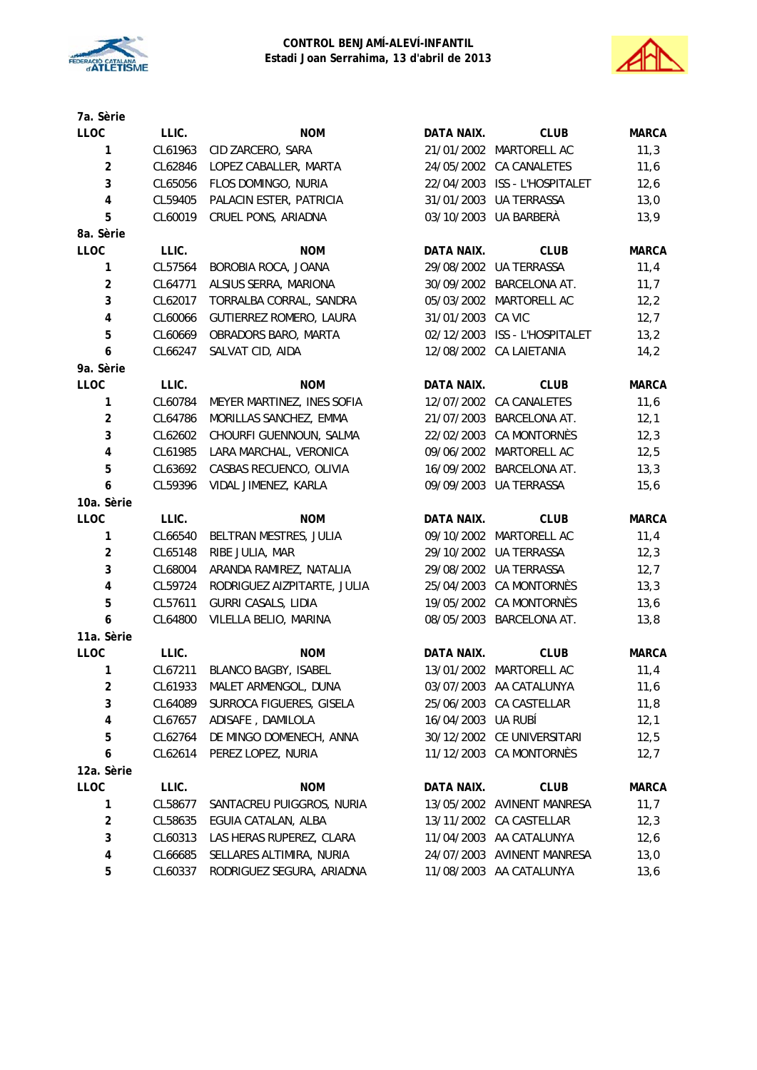



| 7a. Sèrie                 |         |                             |                    |                               |              |
|---------------------------|---------|-----------------------------|--------------------|-------------------------------|--------------|
| LLOC                      | LLIC.   | <b>NOM</b>                  | DATA NAIX.         | <b>CLUB</b>                   | <b>MARCA</b> |
| 1                         | CL61963 | CID ZARCERO, SARA           |                    | 21/01/2002 MARTORELL AC       | 11,3         |
| $\overline{2}$            | CL62846 | LOPEZ CABALLER, MARTA       |                    | 24/05/2002 CA CANALETES       | 11,6         |
| 3                         | CL65056 | FLOS DOMINGO, NURIA         |                    | 22/04/2003 ISS - L'HOSPITALET | 12,6         |
| 4                         | CL59405 | PALACIN ESTER, PATRICIA     |                    | 31/01/2003 UA TERRASSA        | 13,0         |
| 5                         | CL60019 | CRUEL PONS, ARIADNA         |                    | 03/10/2003 UA BARBERÀ         | 13,9         |
| 8a. Sèrie                 |         |                             |                    |                               |              |
| LLOC                      | LLIC.   | <b>NOM</b>                  | DATA NAIX.         | <b>CLUB</b>                   | <b>MARCA</b> |
| 1                         | CL57564 | BOROBIA ROCA, JOANA         |                    | 29/08/2002 UA TERRASSA        | 11,4         |
| $\overline{\mathbf{c}}$   | CL64771 | ALSIUS SERRA, MARIONA       |                    | 30/09/2002 BARCELONA AT.      | 11,7         |
| 3                         | CL62017 | TORRALBA CORRAL, SANDRA     |                    | 05/03/2002 MARTORELL AC       | 12, 2        |
| $\overline{\mathbf{4}}$   | CL60066 | GUTIERREZ ROMERO, LAURA     | 31/01/2003 CA VIC  |                               | 12,7         |
| 5                         | CL60669 | OBRADORS BARO, MARTA        |                    | 02/12/2003 ISS - L'HOSPITALET | 13,2         |
| 6                         | CL66247 | SALVAT CID, AIDA            |                    | 12/08/2002 CA LAIETANIA       | 14,2         |
| 9a. Sèrie                 |         |                             |                    |                               |              |
| LLOC                      | LLIC.   | <b>NOM</b>                  | DATA NAIX.         | <b>CLUB</b>                   | <b>MARCA</b> |
| 1                         | CL60784 | MEYER MARTINEZ, INES SOFIA  |                    | 12/07/2002 CA CANALETES       | 11,6         |
| $\overline{\mathbf{c}}$   | CL64786 | MORILLAS SANCHEZ, EMMA      | 21/07/2003         | BARCELONA AT.                 | 12,1         |
| 3                         | CL62602 | CHOURFI GUENNOUN, SALMA     | 22/02/2003         | <b>CA MONTORNÈS</b>           | 12,3         |
| $\pmb{4}$                 | CL61985 | LARA MARCHAL, VERONICA      |                    | 09/06/2002 MARTORELL AC       | 12,5         |
| 5                         | CL63692 | CASBAS RECUENCO, OLIVIA     |                    | 16/09/2002 BARCELONA AT.      | 13,3         |
| 6                         | CL59396 | VIDAL JIMENEZ, KARLA        |                    | 09/09/2003 UA TERRASSA        | 15, 6        |
| 10a. Sèrie                |         |                             |                    |                               |              |
| LLOC                      | LLIC.   | <b>NOM</b>                  | DATA NAIX.         | <b>CLUB</b>                   | <b>MARCA</b> |
| 1                         | CL66540 | BELTRAN MESTRES, JULIA      |                    | 09/10/2002 MARTORELL AC       | 11,4         |
| $\overline{2}$            | CL65148 | RIBE JULIA, MAR             |                    | 29/10/2002 UA TERRASSA        | 12,3         |
| 3                         | CL68004 | ARANDA RAMIREZ, NATALIA     |                    | 29/08/2002 UA TERRASSA        | 12,7         |
| $\pmb{4}$                 | CL59724 | RODRIGUEZ AIZPITARTE, JULIA |                    | 25/04/2003 CA MONTORNÈS       | 13,3         |
| 5                         | CL57611 | <b>GURRI CASALS, LIDIA</b>  |                    | 19/05/2002 CA MONTORNÈS       | 13,6         |
| 6                         | CL64800 | VILELLA BELIO, MARINA       |                    | 08/05/2003 BARCELONA AT.      | 13,8         |
| 11a. Sèrie                |         |                             |                    |                               |              |
| LLOC                      | LLIC.   | <b>NOM</b>                  | DATA NAIX.         | <b>CLUB</b>                   | <b>MARCA</b> |
| 1                         | CL67211 | <b>BLANCO BAGBY, ISABEL</b> |                    | 13/01/2002 MARTORELL AC       | 11,4         |
| $\mathbf 2$               | CL61933 | MALET ARMENGOL, DUNA        |                    | 03/07/2003 AA CATALUNYA       | 11,6         |
| 3                         | CL64089 | SURROCA FIGUERES, GISELA    | 25/06/2003         | CA CASTELLAR                  | 11,8         |
| 4                         | CL67657 | ADISAFE, DAMILOLA           | 16/04/2003 UA RUBÍ |                               | 12,1         |
| 5                         | CL62764 | DE MINGO DOMENECH, ANNA     |                    | 30/12/2002 CE UNIVERSITARI    | 12,5         |
| 6                         | CL62614 | PEREZ LOPEZ, NURIA          |                    | 11/12/2003 CA MONTORNÈS       |              |
| 12a. Sèrie                |         |                             |                    |                               | 12,7         |
| <b>LLOC</b>               | LLIC.   | <b>NOM</b>                  | <b>DATA NAIX.</b>  | <b>CLUB</b>                   | <b>MARCA</b> |
|                           |         |                             |                    |                               |              |
| 1                         | CL58677 | SANTACREU PUIGGROS, NURIA   |                    | 13/05/2002 AVINENT MANRESA    | 11,7         |
| $\overline{\mathbf{c}}$   | CL58635 | EGUIA CATALAN, ALBA         |                    | 13/11/2002 CA CASTELLAR       | 12,3         |
| $\ensuremath{\mathsf{3}}$ | CL60313 | LAS HERAS RUPEREZ, CLARA    | 11/04/2003         | AA CATALUNYA                  | 12,6         |
| 4                         | CL66685 | SELLARES ALTIMIRA, NURIA    | 24/07/2003         | <b>AVINENT MANRESA</b>        | 13,0         |
| 5                         | CL60337 | RODRIGUEZ SEGURA, ARIADNA   |                    | 11/08/2003 AA CATALUNYA       | 13,6         |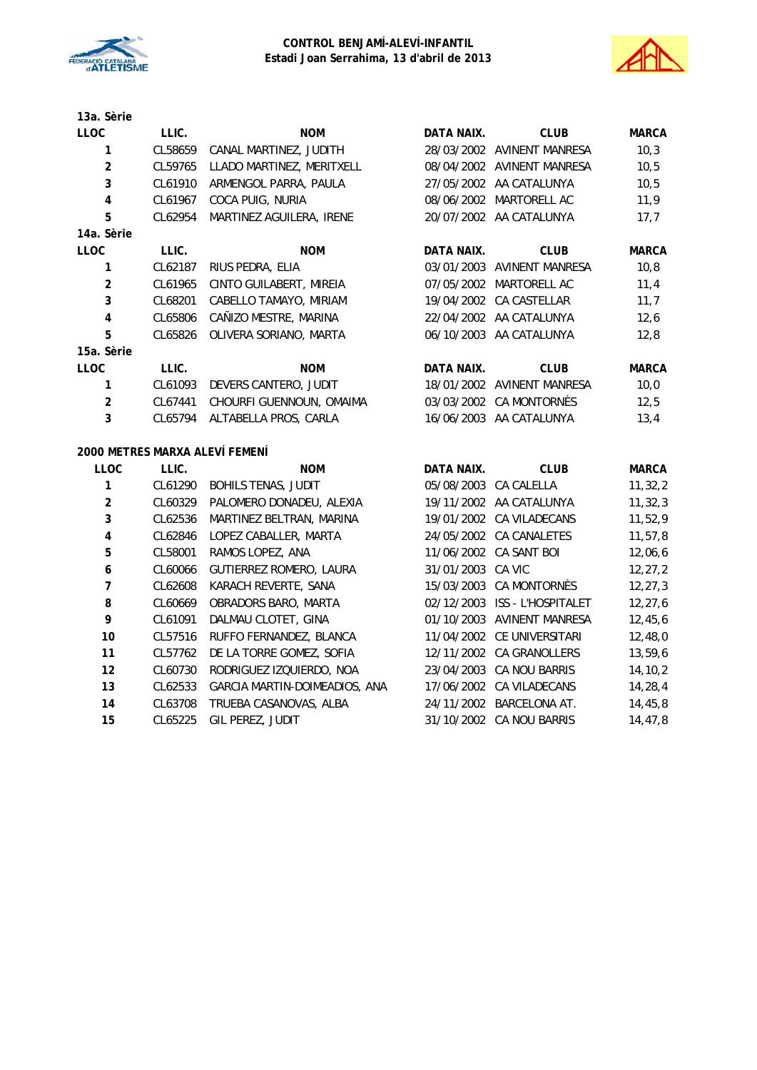



| 13a. Sèrie |
|------------|
| LLOC.      |
| 1          |
| 2          |

| <b>LLOC</b>             | LLIC.   | <b>NOM</b>                     | DATA NAIX.        | <b>CLUB</b>                   | <b>MARCA</b> |
|-------------------------|---------|--------------------------------|-------------------|-------------------------------|--------------|
| 1                       | CL58659 | CANAL MARTINEZ, JUDITH         |                   | 28/03/2002 AVINENT MANRESA    | 10,3         |
| $\overline{2}$          | CL59765 | LLADO MARTINEZ, MERITXELL      |                   | 08/04/2002 AVINENT MANRESA    | 10, 5        |
| 3                       | CL61910 | ARMENGOL PARRA, PAULA          |                   | 27/05/2002 AA CATALUNYA       | 10, 5        |
| $\overline{\mathbf{4}}$ | CL61967 | COCA PUIG, NURIA               |                   | 08/06/2002 MARTORELL AC       | 11,9         |
| 5                       | CL62954 | MARTINEZ AGUILERA, IRENE       |                   | 20/07/2002 AA CATALUNYA       | 17,7         |
| 14a. Sèrie              |         |                                |                   |                               |              |
| <b>LLOC</b>             | LLIC.   | <b>NOM</b>                     | <b>DATA NAIX.</b> | <b>CLUB</b>                   | <b>MARCA</b> |
| 1                       | CL62187 | RIUS PEDRA, ELIA               |                   | 03/01/2003 AVINENT MANRESA    | 10, 8        |
| $\overline{2}$          | CL61965 | CINTO GUILABERT, MIREIA        |                   | 07/05/2002 MARTORELL AC       | 11,4         |
| 3                       | CL68201 | CABELLO TAMAYO, MIRIAM         |                   | 19/04/2002 CA CASTELLAR       | 11,7         |
| $\pmb{4}$               | CL65806 | CAÑIZO MESTRE, MARINA          |                   | 22/04/2002 AA CATALUNYA       | 12,6         |
| 5                       | CL65826 | OLIVERA SORIANO, MARTA         |                   | 06/10/2003 AA CATALUNYA       | 12,8         |
| 15a. Sèrie              |         |                                |                   |                               |              |
| <b>LLOC</b>             | LLIC.   | <b>NOM</b>                     | DATA NAIX.        | <b>CLUB</b>                   | <b>MARCA</b> |
| 1                       | CL61093 | DEVERS CANTERO, JUDIT          |                   | 18/01/2002 AVINENT MANRESA    | 10,0         |
| $\overline{2}$          | CL67441 | CHOURFI GUENNOUN, OMAIMA       |                   | 03/03/2002 CA MONTORNÈS       | 12,5         |
| 3                       | CL65794 | ALTABELLA PROS, CARLA          |                   | 16/06/2003 AA CATALUNYA       | 13,4         |
|                         |         | 2000 METRES MARXA ALEVÍ FEMENÍ |                   |                               |              |
| LLOC                    | LLIC.   | <b>NOM</b>                     | DATA NAIX.        | <b>CLUB</b>                   | <b>MARCA</b> |
| 1                       | CL61290 | <b>BOHILS TENAS, JUDIT</b>     |                   | 05/08/2003 CA CALELLA         | 11, 32, 2    |
| $\overline{2}$          | CL60329 | PALOMERO DONADEU, ALEXIA       |                   | 19/11/2002 AA CATALUNYA       | 11, 32, 3    |
| 3                       | CL62536 | MARTINEZ BELTRAN, MARINA       |                   | 19/01/2002 CA VILADECANS      | 11,52,9      |
| $\overline{\mathbf{4}}$ | CL62846 | LOPEZ CABALLER, MARTA          |                   | 24/05/2002 CA CANALETES       | 11, 57, 8    |
| 5                       | CL58001 | RAMOS LOPEZ, ANA               |                   | 11/06/2002 CA SANT BOI        | 12,06,6      |
| $\boldsymbol{6}$        | CL60066 | GUTIERREZ ROMERO, LAURA        | 31/01/2003        | CA VIC                        | 12, 27, 2    |
| 7                       | CL62608 | KARACH REVERTE, SANA           | 15/03/2003        | CA MONTORNÈS                  | 12, 27, 3    |
| 8                       | CL60669 | OBRADORS BARO, MARTA           |                   | 02/12/2003 ISS - L'HOSPITALET | 12, 27, 6    |
| 9                       | CL61091 | DALMAU CLOTET, GINA            |                   | 01/10/2003 AVINENT MANRESA    | 12,45,6      |
| 10                      | CL57516 | RUFFO FERNANDEZ, BLANCA        |                   | 11/04/2002 CE UNIVERSITARI    | 12,48,0      |
| 11                      | CL57762 | DE LA TORRE GOMEZ, SOFIA       |                   | 12/11/2002 CA GRANOLLERS      | 13,59,6      |

 CL60730 RODRIGUEZ IZQUIERDO, NOA 23/04/2003 CA NOU BARRIS 14,10,2 CL62533 GARCIA MARTIN-DOIMEADIOS, ANA 17/06/2002 CA VILADECANS 14,28,4 CL63708 TRUEBA CASANOVAS, ALBA 24/11/2002 BARCELONA AT. 14,45,8 CL65225 GIL PEREZ, JUDIT 31/10/2002 CA NOU BARRIS 14,47,8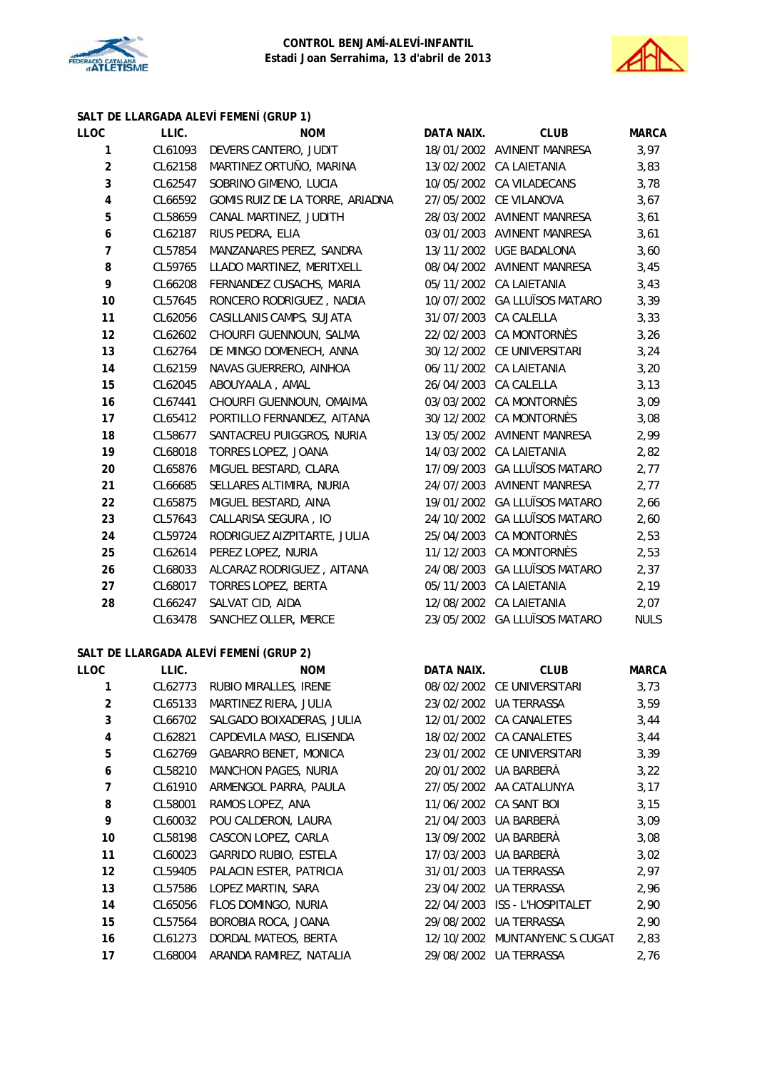



# **SALT DE LLARGADA ALEVÍ FEMENÍ (GRUP 1)**

| LLOC           | LLIC.   | <b>NOM</b>                      | DATA NAIX. | <b>CLUB</b>                  | <b>MARCA</b> |
|----------------|---------|---------------------------------|------------|------------------------------|--------------|
| 1              | CL61093 | DEVERS CANTERO, JUDIT           |            | 18/01/2002 AVINENT MANRESA   | 3,97         |
| $\overline{c}$ | CL62158 | MARTINEZ ORTUÑO, MARINA         |            | 13/02/2002 CA LAIETANIA      | 3,83         |
| 3              | CL62547 | SOBRINO GIMENO, LUCIA           |            | 10/05/2002 CA VILADECANS     | 3,78         |
| $\pmb{4}$      | CL66592 | GOMIS RUIZ DE LA TORRE, ARIADNA |            | 27/05/2002 CE VILANOVA       | 3,67         |
| 5              | CL58659 | CANAL MARTINEZ, JUDITH          |            | 28/03/2002 AVINENT MANRESA   | 3,61         |
| 6              | CL62187 | RIUS PEDRA, ELIA                |            | 03/01/2003 AVINENT MANRESA   | 3,61         |
| 7              | CL57854 | MANZANARES PEREZ, SANDRA        |            | 13/11/2002 UGE BADALONA      | 3,60         |
| 8              | CL59765 | LLADO MARTINEZ, MERITXELL       |            | 08/04/2002 AVINENT MANRESA   | 3,45         |
| 9              | CL66208 | FERNANDEZ CUSACHS, MARIA        |            | 05/11/2002 CA LAIETANIA      | 3,43         |
| 10             | CL57645 | RONCERO RODRIGUEZ, NADIA        |            | 10/07/2002 GA LLUÏSOS MATARO | 3,39         |
| 11             | CL62056 | CASILLANIS CAMPS, SUJATA        |            | 31/07/2003 CA CALELLA        | 3,33         |
| 12             | CL62602 | CHOURFI GUENNOUN, SALMA         |            | 22/02/2003 CA MONTORNÈS      | 3,26         |
| 13             | CL62764 | DE MINGO DOMENECH, ANNA         |            | 30/12/2002 CE UNIVERSITARI   | 3,24         |
| 14             | CL62159 | NAVAS GUERRERO, AINHOA          |            | 06/11/2002 CA LAIETANIA      | 3,20         |
| 15             | CL62045 | ABOUYAALA, AMAL                 |            | 26/04/2003 CA CALELLA        | 3,13         |
| 16             | CL67441 | CHOURFI GUENNOUN, OMAIMA        |            | 03/03/2002 CA MONTORNÈS      | 3,09         |
| 17             | CL65412 | PORTILLO FERNANDEZ, AITANA      |            | 30/12/2002 CA MONTORNÈS      | 3,08         |
| 18             | CL58677 | SANTACREU PUIGGROS, NURIA       |            | 13/05/2002 AVINENT MANRESA   | 2,99         |
| 19             | CL68018 | TORRES LOPEZ, JOANA             |            | 14/03/2002 CA LAIETANIA      | 2,82         |
| 20             | CL65876 | MIGUEL BESTARD, CLARA           |            | 17/09/2003 GA LLUÏSOS MATARO | 2,77         |
| 21             | CL66685 | SELLARES ALTIMIRA, NURIA        |            | 24/07/2003 AVINENT MANRESA   | 2,77         |
| 22             | CL65875 | MIGUEL BESTARD, AINA            |            | 19/01/2002 GA LLUÏSOS MATARO | 2,66         |
| 23             | CL57643 | CALLARISA SEGURA, IO            |            | 24/10/2002 GA LLUÏSOS MATARO | 2,60         |
| 24             | CL59724 | RODRIGUEZ AIZPITARTE, JULIA     |            | 25/04/2003 CA MONTORNÈS      | 2,53         |
| 25             | CL62614 | PEREZ LOPEZ, NURIA              |            | 11/12/2003 CA MONTORNÈS      | 2,53         |
| 26             | CL68033 | ALCARAZ RODRIGUEZ, AITANA       |            | 24/08/2003 GA LLUÏSOS MATARO | 2,37         |
| 27             | CL68017 | TORRES LOPEZ, BERTA             |            | 05/11/2003 CA LAIETANIA      | 2,19         |
| 28             | CL66247 | SALVAT CID, AIDA                |            | 12/08/2002 CA LAIETANIA      | 2,07         |
|                | CL63478 | SANCHEZ OLLER, MERCE            |            | 23/05/2002 GA LLUÏSOS MATARO | <b>NULS</b>  |
|                |         |                                 |            |                              |              |
|                |         |                                 |            |                              |              |

## **SALT DE LLARGADA ALEVÍ FEMENÍ (GRUP 2)**

| LLOC           | LLIC.   | <b>NOM</b>                | DATA NAIX. | <b>CLUB</b>                | <b>MARCA</b> |
|----------------|---------|---------------------------|------------|----------------------------|--------------|
|                | CL62773 | RUBIO MIRALLES, IRENE     |            | 08/02/2002 CE UNIVERSITARI | 3,73         |
| $\overline{2}$ | CL65133 | MARTINEZ RIERA, JULIA     |            | 23/02/2002 UA TERRASSA     | 3,59         |
| 3              | CL66702 | SALGADO BOIXADERAS, JULIA |            | 12/01/2002 CA CANALETES    | 3,44         |
| 4              | CL62821 | CAPDEVILA MASO, ELISENDA  |            | 18/02/2002 CA CANALETES    | 3,44         |
| 5              | CL62769 | GABARRO BENET, MONICA     |            | 23/01/2002 CE UNIVERSITARI | 3,39         |
| 6              | CL58210 | MANCHON PAGES, NURIA      |            | 20/01/2002 UA BARBERA      | 3,22         |
| 7              | CL61910 | ARMENGOL PARRA, PAULA     |            | 27/05/2002 AA CATALUNYA    | 3,17         |
| 8              | CL58001 | RAMOS LOPEZ, ANA          |            | 11/06/2002 CA SANT BOI     | 3,15         |
| 9              | CL60032 | POU CALDERON, LAURA       | 21/04/2003 | UA BARBERÀ                 | 3,09         |
| 10             | CL58198 | CASCON LOPEZ, CARLA       |            | 13/09/2002 UA BARBERÀ      | 3,08         |
| 11             | CL60023 | GARRIDO RUBIO, ESTELA     |            | 17/03/2003 UA BARBERA      | 3,02         |
| 12             | CL59405 | PALACIN ESTER, PATRICIA   | 31/01/2003 | UA TERRASSA                | 2,97         |
| 13             | CL57586 | LOPEZ MARTIN, SARA        | 23/04/2002 | <b>UA TERRASSA</b>         | 2,96         |
| 14             | CL65056 | FLOS DOMINGO, NURIA       | 22/04/2003 | ISS - L'HOSPITALET         | 2,90         |
| 15             | CL57564 | BOROBIA ROCA, JOANA       | 29/08/2002 | <b>UA TERRASSA</b>         | 2,90         |
| 16             | CL61273 | DORDAL MATEOS, BERTA      | 12/10/2002 | MUNTANYENC S.CUGAT         | 2,83         |
| 17             | CL68004 | ARANDA RAMIREZ, NATALIA   | 29/08/2002 | UA TERRASSA                | 2,76         |
|                |         |                           |            |                            |              |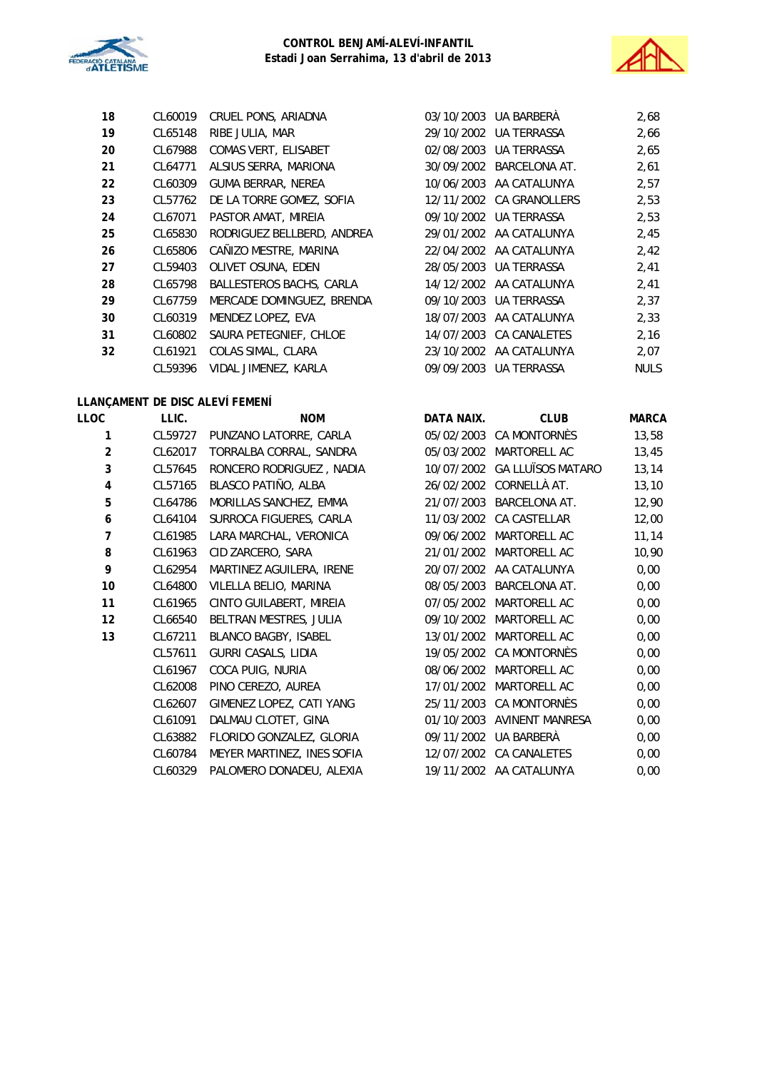



| 18 | CL60019 | CRUEL PONS, ARIADNA             | 03/10/2003 UA BARBERA    | 2,68        |
|----|---------|---------------------------------|--------------------------|-------------|
| 19 | CL65148 | RIBE JULIA, MAR                 | 29/10/2002 UA TERRASSA   | 2,66        |
| 20 | CL67988 | COMAS VERT, ELISABET            | 02/08/2003 UA TERRASSA   | 2,65        |
| 21 | CL64771 | ALSIUS SERRA, MARIONA           | 30/09/2002 BARCELONA AT. | 2,61        |
| 22 | CL60309 | GUMA BERRAR, NEREA              | 10/06/2003 AA CATALUNYA  | 2,57        |
| 23 | CL57762 | DE LA TORRE GOMEZ, SOFIA        | 12/11/2002 CA GRANOLLERS | 2,53        |
| 24 | CL67071 | PASTOR AMAT, MIREIA             | 09/10/2002 UA TERRASSA   | 2,53        |
| 25 | CL65830 | RODRIGUEZ BELLBERD, ANDREA      | 29/01/2002 AA CATALUNYA  | 2,45        |
| 26 | CL65806 | CAÑIZO MESTRE, MARINA           | 22/04/2002 AA CATALUNYA  | 2,42        |
| 27 | CL59403 | OLIVET OSUNA, EDEN              | 28/05/2003 UA TERRASSA   | 2,41        |
| 28 | CL65798 | <b>BALLESTEROS BACHS, CARLA</b> | 14/12/2002 AA CATALUNYA  | 2,41        |
| 29 | CL67759 | MERCADE DOMINGUEZ, BRENDA       | 09/10/2003 UA TERRASSA   | 2,37        |
| 30 | CL60319 | MENDEZ LOPEZ, EVA               | 18/07/2003 AA CATALUNYA  | 2,33        |
| 31 | CL60802 | SAURA PETEGNIEF, CHLOE          | 14/07/2003 CA CANALETES  | 2,16        |
| 32 | CL61921 | COLAS SIMAL, CLARA              | 23/10/2002 AA CATALUNYA  | 2,07        |
|    | CL59396 | VIDAL JIMENEZ, KARLA            | 09/09/2003 UA TERRASSA   | <b>NULS</b> |

## **LLANÇAMENT DE DISC ALEVÍ FEMENÍ**

| LLOC           | LLIC.   | <b>NOM</b>                 | DATA NAIX. | <b>CLUB</b>              | <b>MARCA</b> |
|----------------|---------|----------------------------|------------|--------------------------|--------------|
| 1              | CL59727 | PUNZANO LATORRE, CARLA     | 05/02/2003 | CA MONTORNÈS             | 13,58        |
| $\overline{2}$ | CL62017 | TORRALBA CORRAL, SANDRA    | 05/03/2002 | MARTORELL AC             | 13,45        |
| 3              | CL57645 | RONCERO RODRIGUEZ, NADIA   | 10/07/2002 | <b>GA LLUÏSOS MATARO</b> | 13, 14       |
| 4              | CL57165 | BLASCO PATIÑO, ALBA        | 26/02/2002 | CORNELLÀ AT.             | 13,10        |
| 5              | CL64786 | MORILLAS SANCHEZ, EMMA     | 21/07/2003 | <b>BARCELONA AT.</b>     | 12,90        |
| 6              | CL64104 | SURROCA FIGUERES, CARLA    | 11/03/2002 | CA CASTELLAR             | 12,00        |
| 7              | CL61985 | LARA MARCHAL, VERONICA     | 09/06/2002 | MARTORELL AC             | 11,14        |
| 8              | CL61963 | CID ZARCERO, SARA          | 21/01/2002 | MARTORELL AC             | 10,90        |
| 9              | CL62954 | MARTINEZ AGUILERA, IRENE   | 20/07/2002 | AA CATALUNYA             | 0,00         |
| 10             | CL64800 | VILELLA BELIO, MARINA      | 08/05/2003 | <b>BARCELONA AT.</b>     | 0,00         |
| 11             | CL61965 | CINTO GUILABERT, MIREIA    | 07/05/2002 | MARTORELL AC             | 0,00         |
| 12             | CL66540 | BELTRAN MESTRES, JULIA     | 09/10/2002 | MARTORELL AC             | 0,00         |
| 13             | CL67211 | BLANCO BAGBY, ISABEL       | 13/01/2002 | MARTORELL AC             | 0,00         |
|                | CL57611 | GURRI CASALS, LIDIA        | 19/05/2002 | CA MONTORNÈS             | 0,00         |
|                | CL61967 | COCA PUIG, NURIA           | 08/06/2002 | MARTORELL AC             | 0,00         |
|                | CL62008 | PINO CEREZO, AUREA         | 17/01/2002 | MARTORELL AC             | 0,00         |
|                | CL62607 | GIMENEZ LOPEZ, CATI YANG   | 25/11/2003 | CA MONTORNÈS             | 0,00         |
|                | CL61091 | DALMAU CLOTET, GINA        | 01/10/2003 | AVINENT MANRESA          | 0,00         |
|                | CL63882 | FLORIDO GONZALEZ, GLORIA   | 09/11/2002 | UA BARBERÀ               | 0,00         |
|                | CL60784 | MEYER MARTINEZ, INES SOFIA | 12/07/2002 | CA CANALETES             | 0,00         |
|                | CL60329 | PALOMERO DONADEU, ALEXIA   |            | 19/11/2002 AA CATALUNYA  | 0,00         |
|                |         |                            |            |                          |              |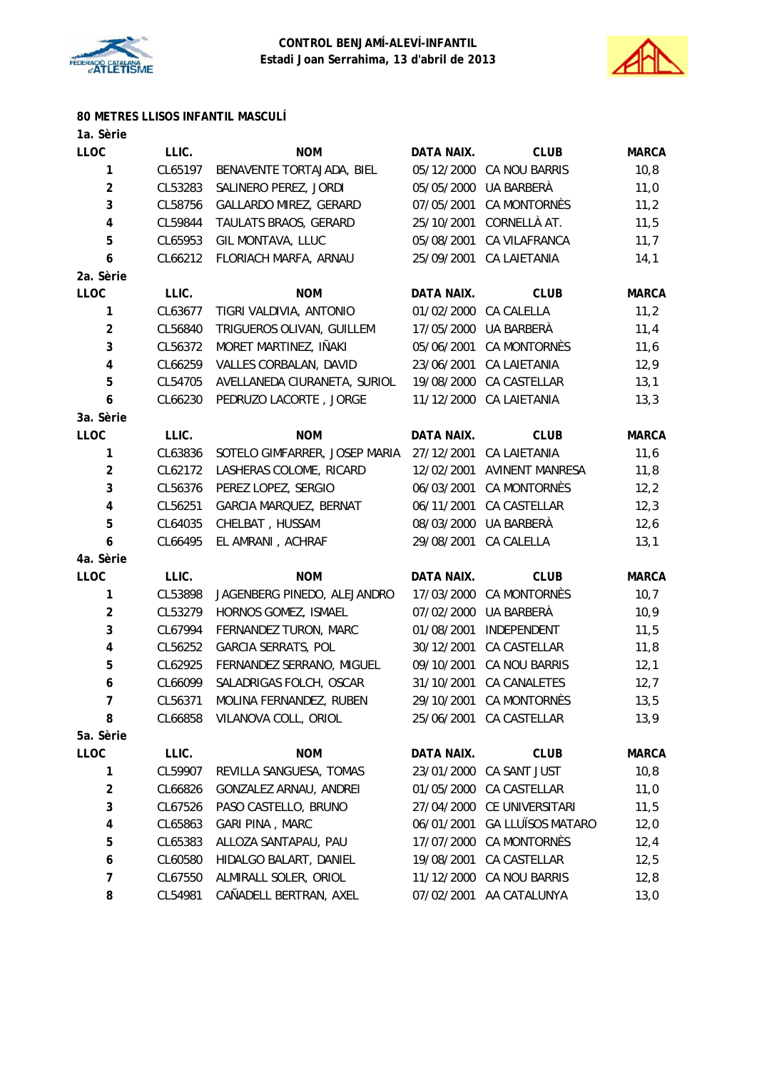



# **80 METRES LLISOS INFANTIL MASCULÍ**

| 1a. Sèrie               |         |                               |                   |                          |              |
|-------------------------|---------|-------------------------------|-------------------|--------------------------|--------------|
| <b>LLOC</b>             | LLIC.   | <b>NOM</b>                    | DATA NAIX.        | <b>CLUB</b>              | <b>MARCA</b> |
| 1                       | CL65197 | BENAVENTE TORTAJADA, BIEL     | 05/12/2000        | CA NOU BARRIS            | 10,8         |
| $\overline{\mathbf{c}}$ | CL53283 | SALINERO PEREZ, JORDI         | 05/05/2000        | UA BARBERÀ               | 11,0         |
| 3                       | CL58756 | GALLARDO MIREZ, GERARD        | 07/05/2001        | CA MONTORNÈS             | 11,2         |
| 4                       | CL59844 | TAULATS BRAOS, GERARD         | 25/10/2001        | CORNELLÀ AT.             | 11,5         |
| 5                       | CL65953 | GIL MONTAVA, LLUC             | 05/08/2001        | CA VILAFRANCA            | 11,7         |
| 6                       | CL66212 | FLORIACH MARFA, ARNAU         | 25/09/2001        | <b>CA LAIETANIA</b>      | 14,1         |
| 2a. Sèrie               |         |                               |                   |                          |              |
| <b>LLOC</b>             | LLIC.   | <b>NOM</b>                    | DATA NAIX.        | <b>CLUB</b>              | <b>MARCA</b> |
| 1                       | CL63677 | TIGRI VALDIVIA, ANTONIO       | 01/02/2000        | CA CALELLA               | 11,2         |
| 2                       | CL56840 | TRIGUEROS OLIVAN, GUILLEM     | 17/05/2000        | UA BARBERÀ               | 11,4         |
| 3                       | CL56372 | MORET MARTINEZ, IÑAKI         | 05/06/2001        | CA MONTORNÈS             | 11,6         |
| 4                       | CL66259 | VALLES CORBALAN, DAVID        | 23/06/2001        | <b>CA LAIETANIA</b>      | 12,9         |
| 5                       | CL54705 | AVELLANEDA CIURANETA, SURIOL  | 19/08/2000        | CA CASTELLAR             | 13,1         |
| 6                       | CL66230 | PEDRUZO LACORTE, JORGE        | 11/12/2000        | <b>CA LAIETANIA</b>      | 13,3         |
| 3a. Sèrie               |         |                               |                   |                          |              |
| <b>LLOC</b>             | LLIC.   | <b>NOM</b>                    | DATA NAIX.        | <b>CLUB</b>              | <b>MARCA</b> |
| 1                       | CL63836 | SOTELO GIMFARRER, JOSEP MARIA | 27/12/2001        | <b>CA LAIETANIA</b>      | 11,6         |
| 2                       | CL62172 | LASHERAS COLOME, RICARD       | 12/02/2001        | <b>AVINENT MANRESA</b>   | 11,8         |
| 3                       | CL56376 | PEREZ LOPEZ, SERGIO           | 06/03/2001        | <b>CA MONTORNÈS</b>      | 12,2         |
| 4                       | CL56251 | GARCIA MARQUEZ, BERNAT        | 06/11/2001        | CA CASTELLAR             | 12,3         |
| 5                       | CL64035 | CHELBAT, HUSSAM               | 08/03/2000        | UA BARBERÀ               | 12,6         |
| 6                       | CL66495 | EL AMRANI, ACHRAF             | 29/08/2001        | CA CALELLA               | 13,1         |
| 4a. Sèrie               |         |                               |                   |                          |              |
| <b>LLOC</b>             | LLIC.   | <b>NOM</b>                    | <b>DATA NAIX.</b> | <b>CLUB</b>              | <b>MARCA</b> |
| 1                       | CL53898 | JAGENBERG PINEDO, ALEJANDRO   | 17/03/2000        | CA MONTORNÈS             | 10,7         |
| 2                       | CL53279 | HORNOS GOMEZ, ISMAEL          | 07/02/2000        | UA BARBERÀ               | 10,9         |
| 3                       | CL67994 | FERNANDEZ TURON, MARC         | 01/08/2001        | INDEPENDENT              | 11,5         |
| 4                       | CL56252 | GARCIA SERRATS, POL           | 30/12/2001        | CA CASTELLAR             | 11,8         |
| 5                       | CL62925 | FERNANDEZ SERRANO, MIGUEL     | 09/10/2001        | CA NOU BARRIS            | 12,1         |
| 6                       | CL66099 | SALADRIGAS FOLCH, OSCAR       | 31/10/2001        | <b>CA CANALETES</b>      | 12,7         |
| 7                       | CL56371 | MOLINA FERNANDEZ, RUBEN       |                   | 29/10/2001 CA MONTORNÈS  | 13,5         |
| 8                       | CL66858 | VILANOVA COLL, ORIOL          | 25/06/2001        | CA CASTELLAR             | 13,9         |
| 5a. Sèrie               |         |                               |                   |                          |              |
| LLOC                    | LLIC.   | <b>NOM</b>                    | <b>DATA NAIX.</b> | <b>CLUB</b>              | <b>MARCA</b> |
| 1                       | CL59907 | REVILLA SANGUESA, TOMAS       | 23/01/2000        | CA SANT JUST             | 10,8         |
| $\overline{\mathbf{c}}$ | CL66826 | GONZALEZ ARNAU, ANDREI        | 01/05/2000        | CA CASTELLAR             | 11,0         |
| 3                       | CL67526 | PASO CASTELLO, BRUNO          | 27/04/2000        | CE UNIVERSITARI          | 11,5         |
| 4                       | CL65863 | GARI PINA, MARC               | 06/01/2001        | <b>GA LLUÏSOS MATARO</b> | 12,0         |
| 5                       | CL65383 | ALLOZA SANTAPAU, PAU          | 17/07/2000        | CA MONTORNÈS             | 12,4         |
| 6                       | CL60580 | HIDALGO BALART, DANIEL        | 19/08/2001        | CA CASTELLAR             | 12,5         |
| 7                       | CL67550 | ALMIRALL SOLER, ORIOL         | 11/12/2000        | CA NOU BARRIS            | 12,8         |
| 8                       | CL54981 | CAÑADELL BERTRAN, AXEL        | 07/02/2001        | AA CATALUNYA             | 13,0         |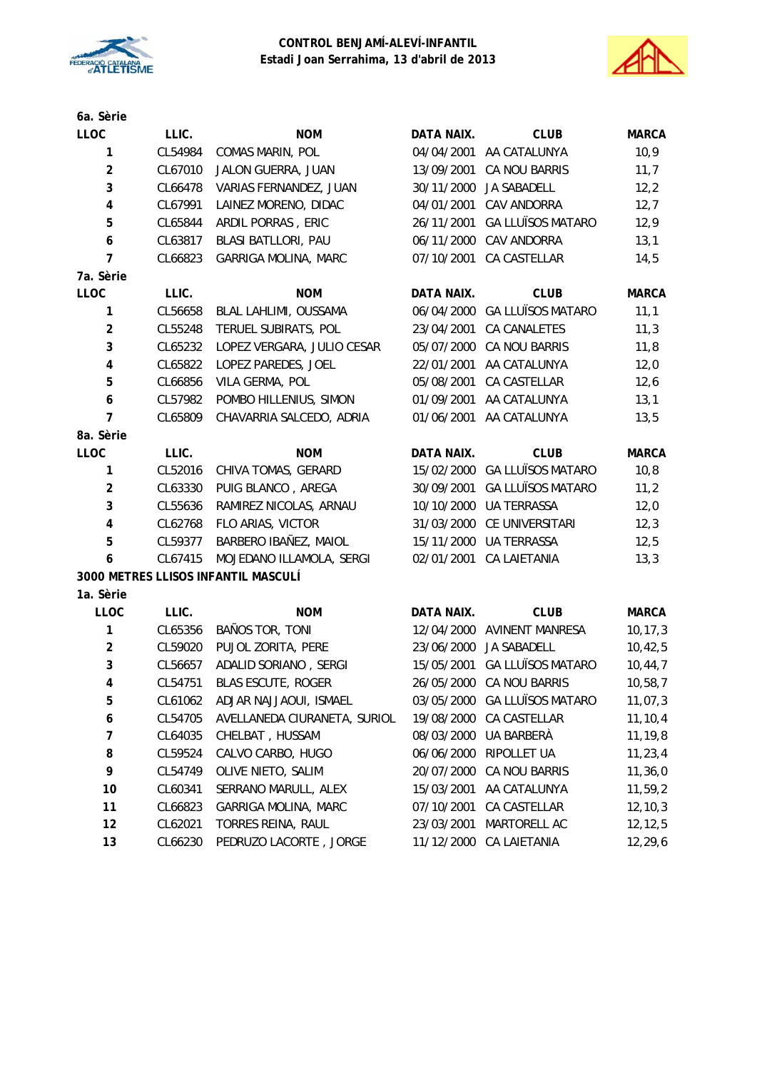



| 6a. Sèrie      |         |                                     |            |                              |              |
|----------------|---------|-------------------------------------|------------|------------------------------|--------------|
| <b>LLOC</b>    | LLIC.   | <b>NOM</b>                          | DATA NAIX. | <b>CLUB</b>                  | <b>MARCA</b> |
| $\mathbf{1}$   | CL54984 | COMAS MARIN, POL                    | 04/04/2001 | AA CATALUNYA                 | 10,9         |
| $\overline{2}$ | CL67010 | JALON GUERRA, JUAN                  | 13/09/2001 | CA NOU BARRIS                | 11,7         |
| 3              | CL66478 | VARIAS FERNANDEZ, JUAN              | 30/11/2000 | JA SABADELL                  | 12,2         |
| 4              | CL67991 | LAINEZ MORENO, DIDAC                | 04/01/2001 | CAV ANDORRA                  | 12,7         |
| 5              | CL65844 | ARDIL PORRAS, ERIC                  | 26/11/2001 | <b>GA LLUÏSOS MATARO</b>     | 12,9         |
| 6              | CL63817 | BLASI BATLLORI, PAU                 | 06/11/2000 | CAV ANDORRA                  | 13,1         |
| 7              | CL66823 | <b>GARRIGA MOLINA, MARC</b>         | 07/10/2001 | CA CASTELLAR                 | 14,5         |
| 7a. Sèrie      |         |                                     |            |                              |              |
| LLOC           | LLIC.   | <b>NOM</b>                          | DATA NAIX. | <b>CLUB</b>                  | <b>MARCA</b> |
| 1              | CL56658 | BLAL LAHLIMI, OUSSAMA               | 06/04/2000 | <b>GA LLUÏSOS MATARO</b>     | 11,1         |
| $\overline{2}$ | CL55248 | TERUEL SUBIRATS, POL                | 23/04/2001 | <b>CA CANALETES</b>          | 11,3         |
| 3              | CL65232 | LOPEZ VERGARA, JULIO CESAR          | 05/07/2000 | <b>CA NOU BARRIS</b>         | 11,8         |
| 4              | CL65822 | LOPEZ PAREDES, JOEL                 | 22/01/2001 | AA CATALUNYA                 | 12,0         |
| 5              | CL66856 | VILA GERMA, POL                     | 05/08/2001 | CA CASTELLAR                 | 12,6         |
| 6              | CL57982 | POMBO HILLENIUS, SIMON              | 01/09/2001 | AA CATALUNYA                 | 13,1         |
| $\overline{7}$ | CL65809 | CHAVARRIA SALCEDO, ADRIA            | 01/06/2001 | AA CATALUNYA                 | 13,5         |
| 8a. Sèrie      |         |                                     |            |                              |              |
| LLOC           | LLIC.   | <b>NOM</b>                          | DATA NAIX. | <b>CLUB</b>                  | <b>MARCA</b> |
| 1              | CL52016 | CHIVA TOMAS, GERARD                 | 15/02/2000 | <b>GA LLUÏSOS MATARO</b>     | 10,8         |
| $\overline{2}$ | CL63330 | PUIG BLANCO, AREGA                  | 30/09/2001 | <b>GA LLUÏSOS MATARO</b>     | 11,2         |
| 3              | CL55636 | RAMIREZ NICOLAS, ARNAU              | 10/10/2000 | <b>UA TERRASSA</b>           | 12,0         |
| 4              | CL62768 | FLO ARIAS, VICTOR                   | 31/03/2000 | CE UNIVERSITARI              | 12,3         |
| 5              | CL59377 | BARBERO IBAÑEZ, MAIOL               | 15/11/2000 | <b>UA TERRASSA</b>           | 12,5         |
| 6              | CL67415 | MOJEDANO ILLAMOLA, SERGI            |            | 02/01/2001 CA LAIETANIA      | 13,3         |
|                |         | 3000 METRES LLISOS INFANTIL MASCULÍ |            |                              |              |
| 1a. Sèrie      |         |                                     |            |                              |              |
| <b>LLOC</b>    | LLIC.   | <b>NOM</b>                          | DATA NAIX. | <b>CLUB</b>                  | <b>MARCA</b> |
| 1              | CL65356 | BAÑOS TOR, TONI                     |            | 12/04/2000 AVINENT MANRESA   | 10, 17, 3    |
| $\overline{2}$ | CL59020 | PUJOL ZORITA, PERE                  |            | 23/06/2000 JA SABADELL       | 10,42,5      |
| 3              | CL56657 | ADALID SORIANO, SERGI               |            | 15/05/2001 GA LLUÏSOS MATARO | 10, 44, 7    |
| 4              | CL54751 | <b>BLAS ESCUTE, ROGER</b>           |            | 26/05/2000 CA NOU BARRIS     | 10,58,7      |
| 5              | CL61062 | ADJAR NAJJAOUI, ISMAEL              | 03/05/2000 | <b>GA LLUÏSOS MATARO</b>     | 11,07,3      |
| 6              | CL54705 | AVELLANEDA CIURANETA, SURIOL        | 19/08/2000 | CA CASTELLAR                 | 11, 10, 4    |
| 7              | CL64035 | CHELBAT, HUSSAM                     | 08/03/2000 | UA BARBERÀ                   | 11,19,8      |
| 8              | CL59524 | CALVO CARBO, HUGO                   | 06/06/2000 | RIPOLLET UA                  | 11, 23, 4    |
| 9              | CL54749 | OLIVE NIETO, SALIM                  | 20/07/2000 | CA NOU BARRIS                | 11,36,0      |
| 10             | CL60341 | SERRANO MARULL, ALEX                | 15/03/2001 | AA CATALUNYA                 | 11,59,2      |
| 11             | CL66823 | GARRIGA MOLINA, MARC                | 07/10/2001 | CA CASTELLAR                 | 12, 10, 3    |
| 12             | CL62021 | TORRES REINA, RAUL                  | 23/03/2001 | MARTORELL AC                 | 12,12,5      |
| 13             | CL66230 | PEDRUZO LACORTE, JORGE              | 11/12/2000 | CA LAIETANIA                 | 12,29,6      |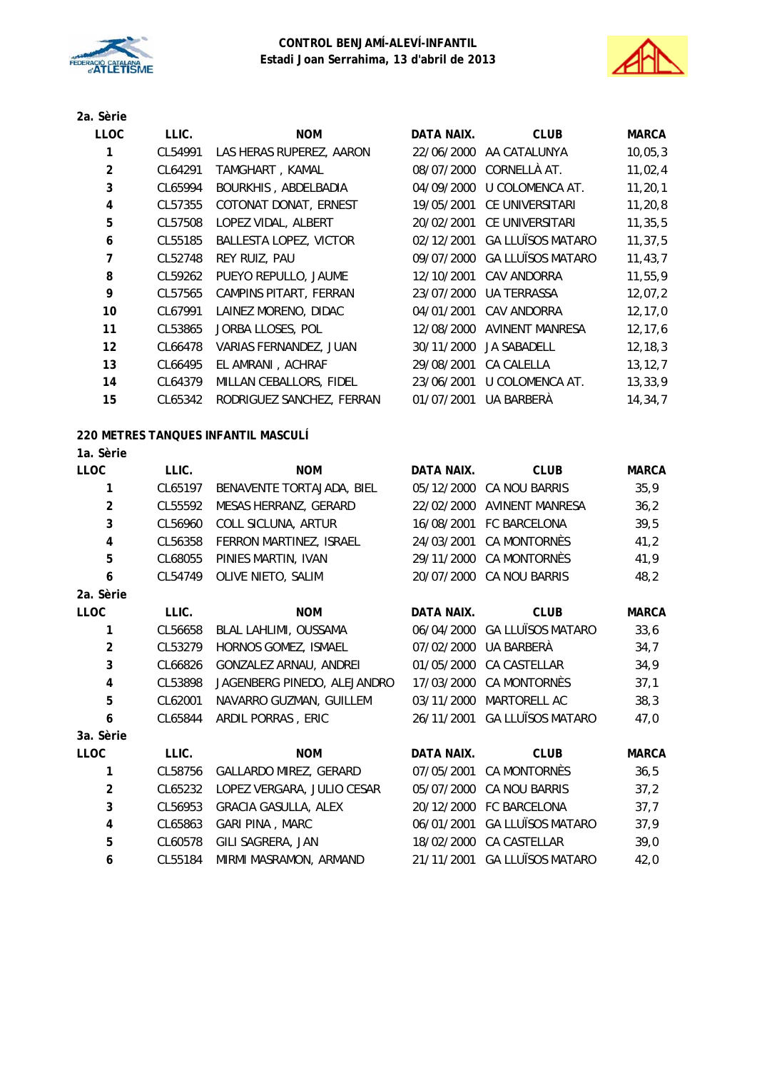



#### **2a. Sèrie**

| <b>LLOC</b>    | LLIC.   | <b>NOM</b>                | DATA NAIX. | <b>CLUB</b>              | <b>MARCA</b> |
|----------------|---------|---------------------------|------------|--------------------------|--------------|
| 1              | CL54991 | LAS HERAS RUPEREZ, AARON  | 22/06/2000 | AA CATALUNYA             | 10,05,3      |
| $\overline{2}$ | CL64291 | TAMGHART, KAMAL           | 08/07/2000 | CORNELLÀ AT.             | 11,02,4      |
| 3              | CL65994 | BOURKHIS, ABDELBADIA      | 04/09/2000 | U COLOMENCA AT.          | 11, 20, 1    |
| 4              | CL57355 | COTONAT DONAT, ERNEST     | 19/05/2001 | <b>CE UNIVERSITARI</b>   | 11, 20, 8    |
| 5              | CL57508 | LOPEZ VIDAL, ALBERT       | 20/02/2001 | CE UNIVERSITARI          | 11, 35, 5    |
| 6              | CL55185 | BALLESTA LOPEZ, VICTOR    | 02/12/2001 | <b>GA LLUÏSOS MATARO</b> | 11, 37, 5    |
| $\overline{7}$ | CL52748 | <b>REY RUIZ, PAU</b>      | 09/07/2000 | <b>GA LLUÏSOS MATARO</b> | 11, 43, 7    |
| 8              | CL59262 | PUEYO REPULLO, JAUME      | 12/10/2001 | CAV ANDORRA              | 11,55,9      |
| 9              | CL57565 | CAMPINS PITART, FERRAN    | 23/07/2000 | <b>UA TERRASSA</b>       | 12,07,2      |
| 10             | CL67991 | LAINEZ MORENO, DIDAC      | 04/01/2001 | CAV ANDORRA              | 12, 17, 0    |
| 11             | CL53865 | JORBA LLOSES, POL         | 12/08/2000 | <b>AVINENT MANRESA</b>   | 12, 17, 6    |
| 12             | CL66478 | VARIAS FERNANDEZ, JUAN    | 30/11/2000 | <b>JA SABADELL</b>       | 12, 18, 3    |
| 13             | CL66495 | EL AMRANI, ACHRAF         | 29/08/2001 | CA CALELLA               | 13, 12, 7    |
| 14             | CL64379 | MILLAN CEBALLORS, FIDEL   | 23/06/2001 | U COLOMENCA AT.          | 13, 33, 9    |
| 15             | CL65342 | RODRIGUEZ SANCHEZ, FERRAN | 01/07/2001 | UA BARBERÀ               | 14,34,7      |

## **220 METRES TANQUES INFANTIL MASCULÍ**

### **1a. Sèrie**

| <b>LLOC</b>             | LLIC.   | <b>NOM</b>                  | <b>DATA NAIX.</b> | <b>CLUB</b>                  | <b>MARCA</b> |
|-------------------------|---------|-----------------------------|-------------------|------------------------------|--------------|
| 1                       | CL65197 | BENAVENTE TORTAJADA, BIEL   | 05/12/2000        | CA NOU BARRIS                | 35,9         |
| $\overline{2}$          | CL55592 | MESAS HERRANZ, GERARD       |                   | 22/02/2000 AVINENT MANRESA   | 36,2         |
| 3                       | CL56960 | COLL SICLUNA, ARTUR         |                   | 16/08/2001 FC BARCELONA      | 39,5         |
| 4                       | CL56358 | FERRON MARTINEZ, ISRAEL     | 24/03/2001        | CA MONTORNÈS                 | 41,2         |
| 5                       | CL68055 | PINIES MARTIN, IVAN         | 29/11/2000        | CA MONTORNÈS                 | 41,9         |
| 6                       | CL54749 | OLIVE NIETO, SALIM          |                   | 20/07/2000 CA NOU BARRIS     | 48,2         |
| 2a. Sèrie               |         |                             |                   |                              |              |
| <b>LLOC</b>             | LLIC.   | <b>NOM</b>                  | <b>DATA NAIX.</b> | <b>CLUB</b>                  | <b>MARCA</b> |
| 1                       | CL56658 | BLAL LAHLIMI, OUSSAMA       |                   | 06/04/2000 GA LLUÏSOS MATARO | 33,6         |
| $\overline{a}$          | CL53279 | HORNOS GOMEZ, ISMAEL        | 07/02/2000        | UA BARBERÀ                   | 34,7         |
| 3                       | CL66826 | GONZALEZ ARNAU, ANDREI      | 01/05/2000        | CA CASTELLAR                 | 34,9         |
| $\overline{\mathbf{4}}$ | CL53898 | JAGENBERG PINEDO, ALEJANDRO | 17/03/2000        | CA MONTORNÈS                 | 37,1         |
| 5                       | CL62001 | NAVARRO GUZMAN, GUILLEM     | 03/11/2000        | MARTORELL AC                 | 38,3         |
| 6                       | CL65844 | ARDIL PORRAS, ERIC          | 26/11/2001        | <b>GA LLUÏSOS MATARO</b>     | 47,0         |
| 3a. Sèrie               |         |                             |                   |                              |              |
| <b>LLOC</b>             | LLIC.   | <b>NOM</b>                  | DATA NAIX.        | <b>CLUB</b>                  | <b>MARCA</b> |
| 1                       | CL58756 | GALLARDO MIREZ, GERARD      | 07/05/2001        | CA MONTORNÈS                 | 36,5         |
| $\overline{2}$          | CL65232 | LOPEZ VERGARA, JULIO CESAR  | 05/07/2000        | CA NOU BARRIS                | 37,2         |
| 3                       | CL56953 | <b>GRACIA GASULLA, ALEX</b> |                   | 20/12/2000 FC BARCELONA      | 37,7         |
| 4                       | CL65863 | GARI PINA, MARC             | 06/01/2001        | <b>GA LLUÏSOS MATARO</b>     | 37,9         |
| 5                       | CL60578 | GILI SAGRERA, JAN           | 18/02/2000        | CA CASTELLAR                 | 39,0         |
| 6                       | CL55184 | MIRMI MASRAMON, ARMAND      | 21/11/2001        | <b>GA LLUÏSOS MATARO</b>     | 42,0         |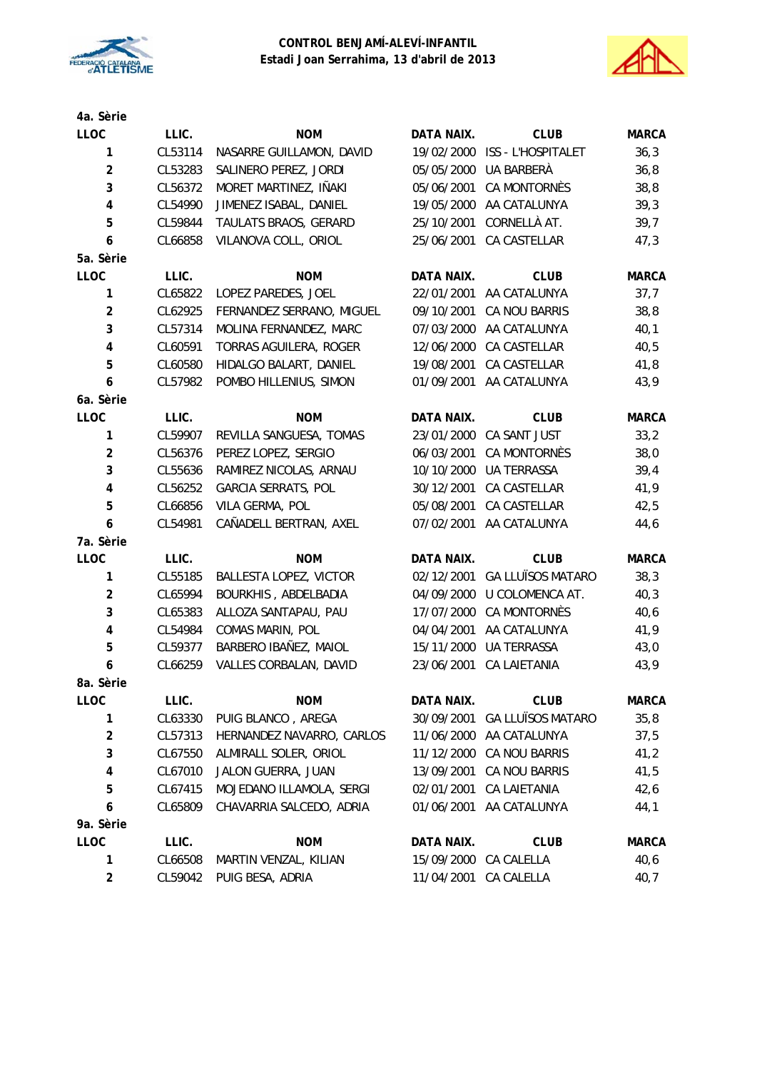



| 4a. Sèrie               |         |                            |                   |                          |              |
|-------------------------|---------|----------------------------|-------------------|--------------------------|--------------|
| LLOC                    | LLIC.   | <b>NOM</b>                 | DATA NAIX.        | <b>CLUB</b>              | <b>MARCA</b> |
| 1                       | CL53114 | NASARRE GUILLAMON, DAVID   | 19/02/2000        | ISS - L'HOSPITALET       | 36,3         |
| $\overline{\mathbf{c}}$ | CL53283 | SALINERO PEREZ, JORDI      | 05/05/2000        | UA BARBERÀ               | 36,8         |
| 3                       | CL56372 | MORET MARTINEZ, IÑAKI      | 05/06/2001        | CA MONTORNÈS             | 38,8         |
| 4                       | CL54990 | JIMENEZ ISABAL, DANIEL     | 19/05/2000        | AA CATALUNYA             | 39,3         |
| 5                       | CL59844 | TAULATS BRAOS, GERARD      | 25/10/2001        | CORNELLÀ AT.             | 39,7         |
| 6                       | CL66858 | VILANOVA COLL, ORIOL       | 25/06/2001        | CA CASTELLAR             | 47,3         |
| 5a. Sèrie               |         |                            |                   |                          |              |
| <b>LLOC</b>             | LLIC.   | <b>NOM</b>                 | DATA NAIX.        | <b>CLUB</b>              | <b>MARCA</b> |
| 1                       | CL65822 | LOPEZ PAREDES, JOEL        | 22/01/2001        | AA CATALUNYA             | 37,7         |
| $\overline{2}$          | CL62925 | FERNANDEZ SERRANO, MIGUEL  | 09/10/2001        | CA NOU BARRIS            | 38,8         |
| 3                       | CL57314 | MOLINA FERNANDEZ, MARC     | 07/03/2000        | AA CATALUNYA             | 40,1         |
| 4                       | CL60591 | TORRAS AGUILERA, ROGER     | 12/06/2000        | CA CASTELLAR             | 40,5         |
| 5                       | CL60580 | HIDALGO BALART, DANIEL     | 19/08/2001        | CA CASTELLAR             | 41,8         |
| 6                       | CL57982 | POMBO HILLENIUS, SIMON     | 01/09/2001        | AA CATALUNYA             | 43,9         |
| 6a. Sèrie               |         |                            |                   |                          |              |
| LLOC                    | LLIC.   | <b>NOM</b>                 | DATA NAIX.        | <b>CLUB</b>              | <b>MARCA</b> |
| 1                       | CL59907 | REVILLA SANGUESA, TOMAS    | 23/01/2000        | CA SANT JUST             | 33,2         |
| $\overline{\mathbf{c}}$ | CL56376 | PEREZ LOPEZ, SERGIO        | 06/03/2001        | CA MONTORNÈS             | 38,0         |
| 3                       | CL55636 | RAMIREZ NICOLAS, ARNAU     | 10/10/2000        | <b>UA TERRASSA</b>       | 39,4         |
| 4                       | CL56252 | <b>GARCIA SERRATS, POL</b> | 30/12/2001        | CA CASTELLAR             | 41,9         |
| 5                       | CL66856 | VILA GERMA, POL            | 05/08/2001        | CA CASTELLAR             | 42,5         |
| 6                       | CL54981 | CAÑADELL BERTRAN, AXEL     | 07/02/2001        | AA CATALUNYA             | 44,6         |
| 7a. Sèrie               |         |                            |                   |                          |              |
| LLOC                    | LLIC.   | <b>NOM</b>                 | <b>DATA NAIX.</b> | <b>CLUB</b>              | <b>MARCA</b> |
| 1                       | CL55185 | BALLESTA LOPEZ, VICTOR     | 02/12/2001        | <b>GA LLUÏSOS MATARO</b> | 38,3         |
| $\overline{\mathbf{c}}$ | CL65994 | BOURKHIS, ABDELBADIA       | 04/09/2000        | U COLOMENCA AT.          | 40,3         |
| 3                       | CL65383 | ALLOZA SANTAPAU, PAU       | 17/07/2000        | <b>CA MONTORNÈS</b>      | 40, 6        |
| 4                       | CL54984 | COMAS MARIN, POL           | 04/04/2001        | AA CATALUNYA             | 41,9         |
| 5                       | CL59377 | BARBERO IBAÑEZ, MAIOL      | 15/11/2000        | <b>UA TERRASSA</b>       | 43,0         |
| 6                       | CL66259 | VALLES CORBALAN, DAVID     | 23/06/2001        | <b>CA LAIETANIA</b>      | 43,9         |
| 8a. Sèrie               |         |                            |                   |                          |              |
| LLOC                    | LLIC.   | <b>NOM</b>                 | DATA NAIX.        | <b>CLUB</b>              | <b>MARCA</b> |
| 1                       | CL63330 | PUIG BLANCO, AREGA         | 30/09/2001        | <b>GA LLUÏSOS MATARO</b> | 35,8         |
| $\overline{\mathbf{c}}$ | CL57313 | HERNANDEZ NAVARRO, CARLOS  | 11/06/2000        | AA CATALUNYA             | 37,5         |
| 3                       | CL67550 | ALMIRALL SOLER, ORIOL      | 11/12/2000        | CA NOU BARRIS            | 41,2         |
| 4                       | CL67010 | JALON GUERRA, JUAN         | 13/09/2001        | CA NOU BARRIS            | 41,5         |
| 5                       | CL67415 | MOJEDANO ILLAMOLA, SERGI   | 02/01/2001        | CA LAIETANIA             | 42,6         |
| 6                       | CL65809 | CHAVARRIA SALCEDO, ADRIA   | 01/06/2001        | AA CATALUNYA             | 44,1         |
| 9a. Sèrie               |         |                            |                   |                          |              |
| <b>LLOC</b>             | LLIC.   | <b>NOM</b>                 | DATA NAIX.        | <b>CLUB</b>              | <b>MARCA</b> |
| 1                       | CL66508 | MARTIN VENZAL, KILIAN      | 15/09/2000        | CA CALELLA               | 40,6         |
| $\overline{\mathbf{c}}$ | CL59042 | PUIG BESA, ADRIA           | 11/04/2001        | CA CALELLA               | 40,7         |
|                         |         |                            |                   |                          |              |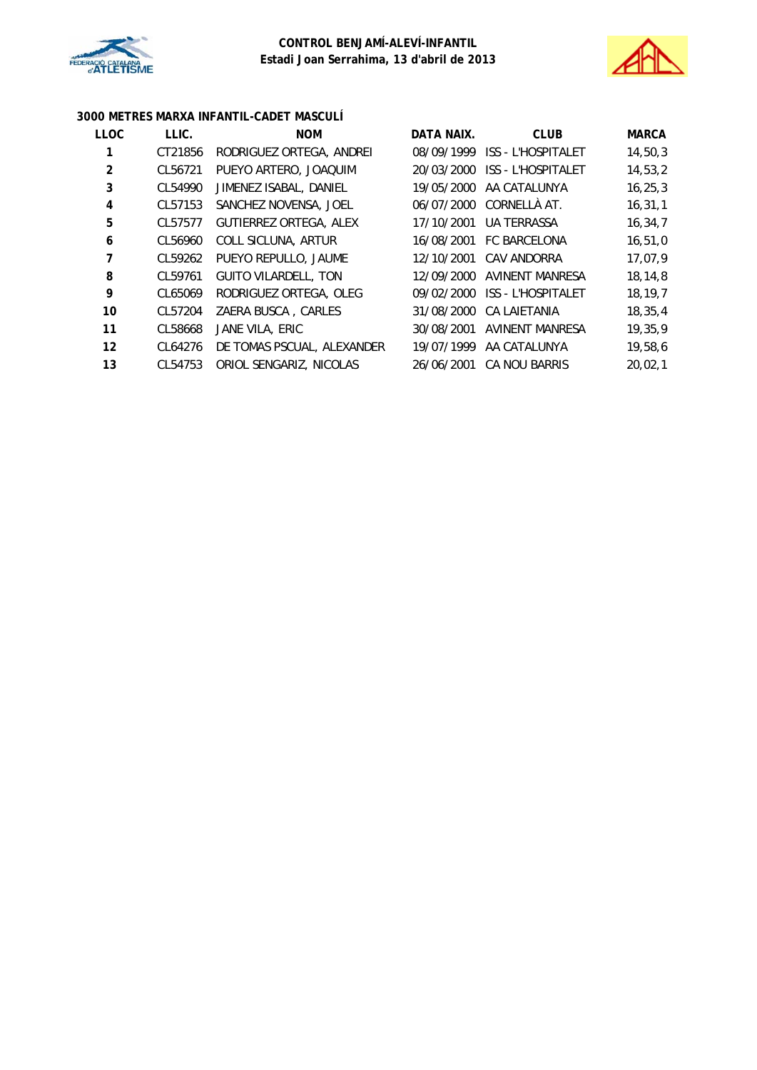



# **3000 METRES MARXA INFANTIL-CADET MASCULÍ**

| <b>LLOC</b>    | LLIC.   | <b>NOM</b>                    | DATA NAIX. | <b>CLUB</b>               | <b>MARCA</b> |
|----------------|---------|-------------------------------|------------|---------------------------|--------------|
| 1              | CT21856 | RODRIGUEZ ORTEGA, ANDREI      | 08/09/1999 | <b>ISS - L'HOSPITALET</b> | 14,50,3      |
| $\overline{2}$ | CL56721 | PUEYO ARTERO, JOAQUIM         | 20/03/2000 | <b>ISS - L'HOSPITALET</b> | 14,53,2      |
| 3              | CL54990 | JIMENEZ ISABAL, DANIEL        | 19/05/2000 | AA CATALUNYA              | 16, 25, 3    |
| 4              | CL57153 | SANCHEZ NOVENSA, JOEL         |            | 06/07/2000 CORNELLA AT.   | 16, 31, 1    |
| 5              | CL57577 | <b>GUTIERREZ ORTEGA, ALEX</b> | 17/10/2001 | <b>UA TERRASSA</b>        | 16,34,7      |
| 6              | CL56960 | COLL SICLUNA, ARTUR           | 16/08/2001 | <b>FC BARCELONA</b>       | 16, 51, 0    |
| 7              | CL59262 | PUEYO REPULLO, JAUME          | 12/10/2001 | CAV ANDORRA               | 17,07,9      |
| 8              | CL59761 | <b>GUITO VILARDELL, TON</b>   | 12/09/2000 | AVINENT MANRESA           | 18,14,8      |
| 9              | CL65069 | RODRIGUEZ ORTEGA, OLEG        | 09/02/2000 | <b>ISS - L'HOSPITALET</b> | 18, 19, 7    |
| 10             | CL57204 | ZAERA BUSCA, CARLES           | 31/08/2000 | <b>CA LAIETANIA</b>       | 18, 35, 4    |
| 11             | CL58668 | JANE VILA, ERIC               | 30/08/2001 | <b>AVINENT MANRESA</b>    | 19,35,9      |
| 12             | CL64276 | DE TOMAS PSCUAL, ALEXANDER    | 19/07/1999 | AA CATALUNYA              | 19,58,6      |
| 13             | CL54753 | ORIOL SENGARIZ, NICOLAS       | 26/06/2001 | CA NOU BARRIS             | 20,02,1      |
|                |         |                               |            |                           |              |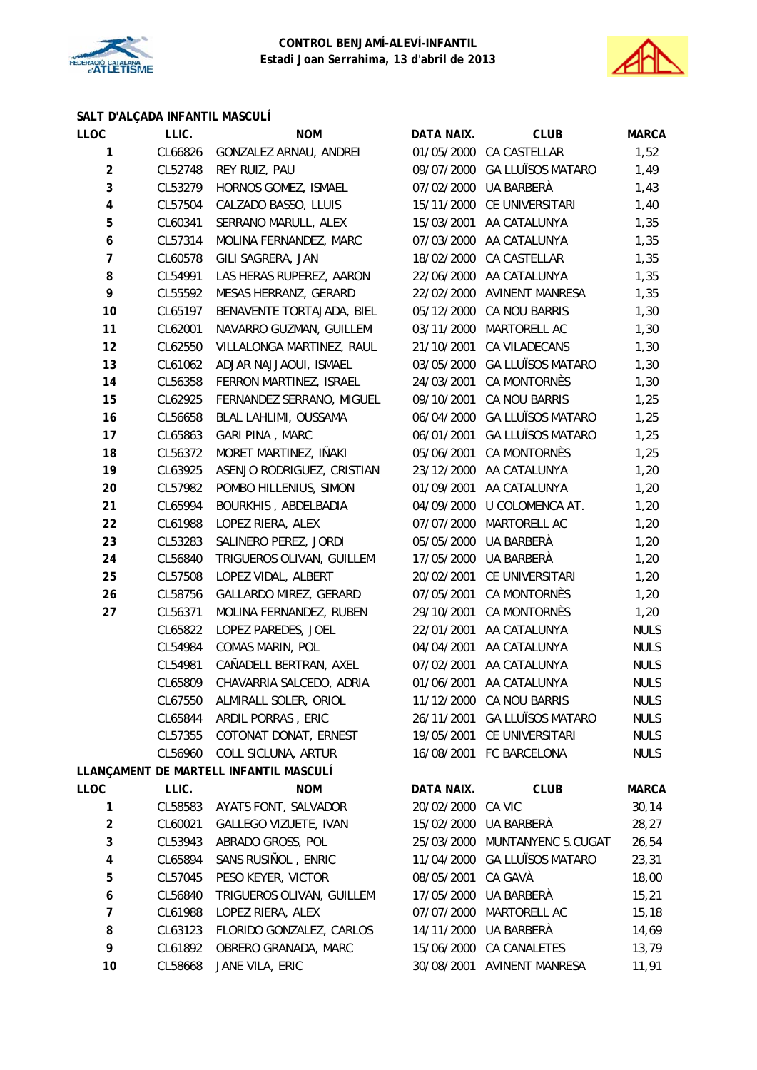



# **SALT D'ALÇADA INFANTIL MASCULÍ**

| <b>LLOC</b>             | LLIC.   | <b>NOM</b>                             | DATA NAIX.        | <b>CLUB</b>                  | <b>MARCA</b> |
|-------------------------|---------|----------------------------------------|-------------------|------------------------------|--------------|
| 1                       | CL66826 | GONZALEZ ARNAU, ANDREI                 |                   | 01/05/2000 CA CASTELLAR      | 1,52         |
| $\overline{2}$          | CL52748 | REY RUIZ, PAU                          |                   | 09/07/2000 GA LLUÏSOS MATARO | 1,49         |
| 3                       | CL53279 | HORNOS GOMEZ, ISMAEL                   |                   | 07/02/2000 UA BARBERÀ        | 1,43         |
| $\pmb{4}$               | CL57504 | CALZADO BASSO, LLUIS                   |                   | 15/11/2000 CE UNIVERSITARI   | 1,40         |
| 5                       | CL60341 | SERRANO MARULL, ALEX                   | 15/03/2001        | AA CATALUNYA                 | 1,35         |
| 6                       | CL57314 | MOLINA FERNANDEZ, MARC                 | 07/03/2000        | AA CATALUNYA                 | 1,35         |
| $\overline{7}$          | CL60578 | GILI SAGRERA, JAN                      |                   | 18/02/2000 CA CASTELLAR      | 1,35         |
| 8                       | CL54991 | LAS HERAS RUPEREZ, AARON               |                   | 22/06/2000 AA CATALUNYA      | 1,35         |
| 9                       | CL55592 | MESAS HERRANZ, GERARD                  |                   | 22/02/2000 AVINENT MANRESA   | 1,35         |
| 10                      | CL65197 | BENAVENTE TORTAJADA, BIEL              |                   | 05/12/2000 CA NOU BARRIS     | 1,30         |
| 11                      | CL62001 | NAVARRO GUZMAN, GUILLEM                | 03/11/2000        | MARTORELL AC                 | 1,30         |
| 12                      | CL62550 | VILLALONGA MARTINEZ, RAUL              | 21/10/2001        | CA VILADECANS                | 1,30         |
| 13                      | CL61062 | ADJAR NAJJAOUI, ISMAEL                 | 03/05/2000        | <b>GA LLUÏSOS MATARO</b>     | 1,30         |
| 14                      | CL56358 | FERRON MARTINEZ, ISRAEL                | 24/03/2001        | CA MONTORNÈS                 | 1,30         |
| 15                      | CL62925 | FERNANDEZ SERRANO, MIGUEL              | 09/10/2001        | CA NOU BARRIS                | 1,25         |
| 16                      | CL56658 | BLAL LAHLIMI, OUSSAMA                  |                   | 06/04/2000 GA LLUÏSOS MATARO | 1,25         |
| 17                      | CL65863 | GARI PINA, MARC                        | 06/01/2001        | <b>GA LLUÏSOS MATARO</b>     | 1,25         |
| 18                      | CL56372 | MORET MARTINEZ, IÑAKI                  | 05/06/2001        | CA MONTORNÈS                 | 1,25         |
| 19                      | CL63925 | ASENJO RODRIGUEZ, CRISTIAN             |                   | 23/12/2000 AA CATALUNYA      | 1,20         |
| 20                      | CL57982 | POMBO HILLENIUS, SIMON                 | 01/09/2001        | AA CATALUNYA                 | 1,20         |
| 21                      | CL65994 | BOURKHIS, ABDELBADIA                   | 04/09/2000        | U COLOMENCA AT.              | 1,20         |
| 22                      | CL61988 | LOPEZ RIERA, ALEX                      |                   | 07/07/2000 MARTORELL AC      | 1,20         |
| 23                      | CL53283 | SALINERO PEREZ, JORDI                  |                   | 05/05/2000 UA BARBERÀ        | 1,20         |
| 24                      | CL56840 | TRIGUEROS OLIVAN, GUILLEM              | 17/05/2000        | UA BARBERÀ                   | 1,20         |
| 25                      | CL57508 | LOPEZ VIDAL, ALBERT                    | 20/02/2001        | CE UNIVERSITARI              | 1,20         |
| 26                      | CL58756 | GALLARDO MIREZ, GERARD                 | 07/05/2001        | CA MONTORNÈS                 | 1,20         |
| 27                      | CL56371 | MOLINA FERNANDEZ, RUBEN                | 29/10/2001        | CA MONTORNÈS                 | 1,20         |
|                         | CL65822 | LOPEZ PAREDES, JOEL                    | 22/01/2001        | AA CATALUNYA                 | <b>NULS</b>  |
|                         | CL54984 | COMAS MARIN, POL                       | 04/04/2001        | AA CATALUNYA                 | <b>NULS</b>  |
|                         | CL54981 | CAÑADELL BERTRAN, AXEL                 | 07/02/2001        | AA CATALUNYA                 | <b>NULS</b>  |
|                         | CL65809 | CHAVARRIA SALCEDO, ADRIA               |                   | 01/06/2001 AA CATALUNYA      | <b>NULS</b>  |
|                         |         | CL67550 ALMIRALL SOLER, ORIOL          |                   | 11/12/2000 CA NOU BARRIS     | <b>NULS</b>  |
|                         | CL65844 | ARDIL PORRAS, ERIC                     | 26/11/2001        | <b>GA LLUÏSOS MATARO</b>     | <b>NULS</b>  |
|                         | CL57355 | COTONAT DONAT, ERNEST                  | 19/05/2001        | CE UNIVERSITARI              | <b>NULS</b>  |
|                         | CL56960 | COLL SICLUNA, ARTUR                    |                   | 16/08/2001 FC BARCELONA      | <b>NULS</b>  |
|                         |         | LLANÇAMENT DE MARTELL INFANTIL MASCULÍ |                   |                              |              |
| <b>LLOC</b>             | LLIC.   | <b>NOM</b>                             | DATA NAIX.        | <b>CLUB</b>                  | <b>MARCA</b> |
| 1                       | CL58583 | AYATS FONT, SALVADOR                   | 20/02/2000 CA VIC |                              | 30, 14       |
| $\overline{\mathbf{c}}$ | CL60021 | GALLEGO VIZUETE, IVAN                  |                   | 15/02/2000 UA BARBERÀ        | 28,27        |
| 3                       | CL53943 | ABRADO GROSS, POL                      | 25/03/2000        | MUNTANYENC S.CUGAT           | 26,54        |
| 4                       | CL65894 | SANS RUSIÑOL, ENRIC                    |                   | 11/04/2000 GA LLUÏSOS MATARO | 23,31        |
| 5                       | CL57045 | PESO KEYER, VICTOR                     | 08/05/2001        | CA GAVÀ                      | 18,00        |
| 6                       | CL56840 | TRIGUEROS OLIVAN, GUILLEM              | 17/05/2000        | UA BARBERÀ                   | 15,21        |
| 7                       | CL61988 | LOPEZ RIERA, ALEX                      |                   | 07/07/2000 MARTORELL AC      | 15, 18       |
| 8                       | CL63123 | FLORIDO GONZALEZ, CARLOS               | 14/11/2000        | UA BARBERÀ                   | 14,69        |
| 9                       | CL61892 | OBRERO GRANADA, MARC                   |                   | 15/06/2000 CA CANALETES      | 13,79        |
| 10                      | CL58668 | JANE VILA, ERIC                        |                   | 30/08/2001 AVINENT MANRESA   | 11,91        |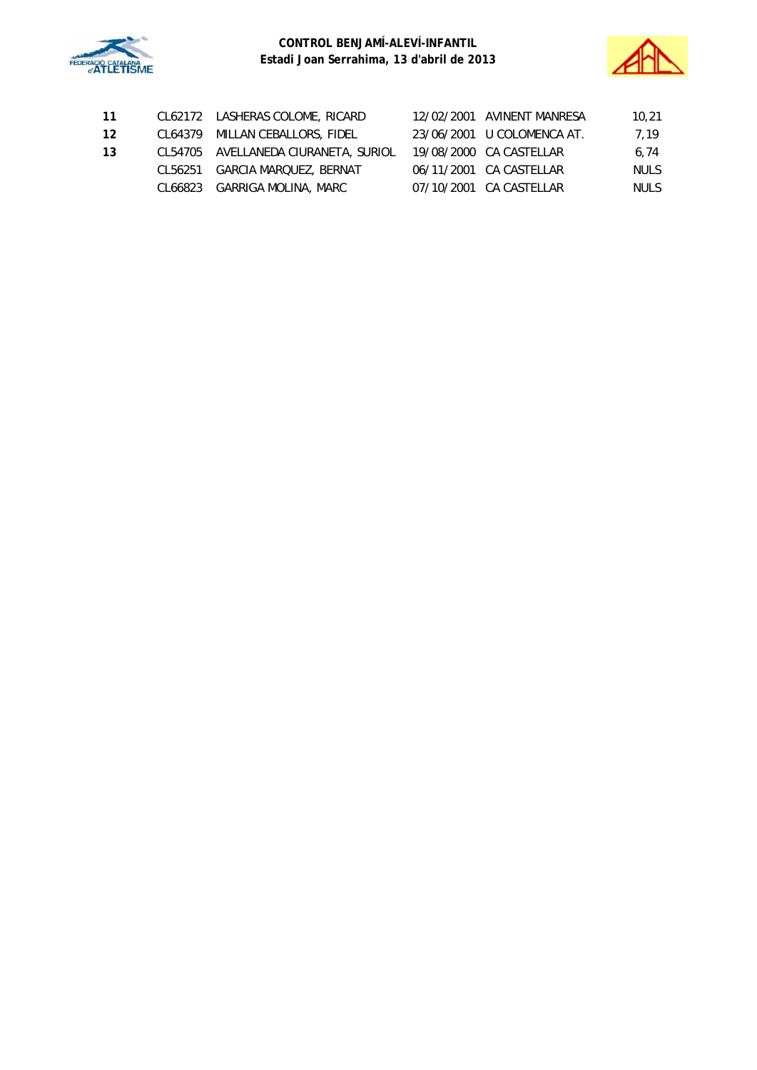



| -11 | CL62172 LASHERAS COLOME, RICARD      | 12/02/2001 AVINENT MANRESA | 10,21       |
|-----|--------------------------------------|----------------------------|-------------|
| 12  | CL64379 MILLAN CEBALLORS, FIDEL      | 23/06/2001 U COLOMENCA AT. | 7.19        |
| 13  | CL54705 AVELLANEDA CIURANETA, SURIOL | 19/08/2000 CA CASTELLAR    | 6.74        |
|     | CL56251 GARCIA MARQUEZ, BERNAT       | 06/11/2001 CA CASTELLAR    | <b>NULS</b> |
|     | CL66823 GARRIGA MOLINA, MARC         | 07/10/2001 CA CASTELLAR    | <b>NULS</b> |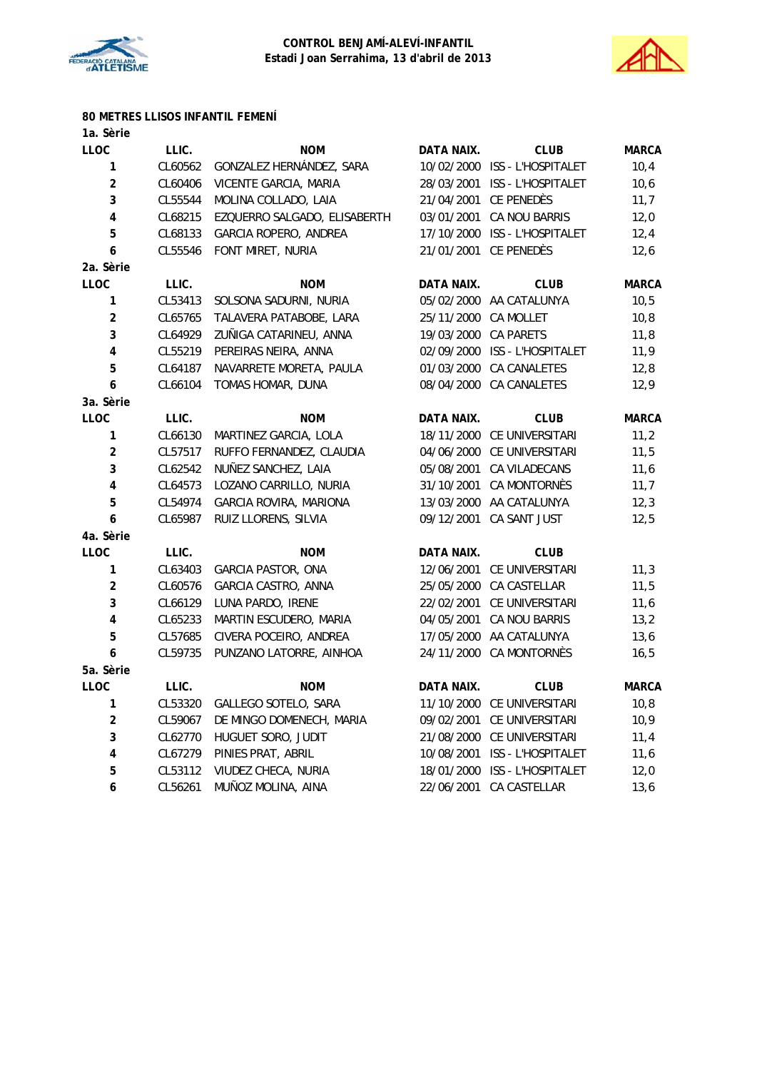



# **80 METRES LLISOS INFANTIL FEMENÍ**

| 1a. Sèrie               |         |                              |                   |                               |              |
|-------------------------|---------|------------------------------|-------------------|-------------------------------|--------------|
| LLOC                    | LLIC.   | <b>NOM</b>                   | DATA NAIX.        | <b>CLUB</b>                   | <b>MARCA</b> |
| 1                       | CL60562 | GONZALEZ HERNÁNDEZ, SARA     |                   | 10/02/2000 ISS - L'HOSPITALET | 10,4         |
| $\overline{2}$          | CL60406 | VICENTE GARCIA, MARIA        |                   | 28/03/2001 ISS - L'HOSPITALET | 10,6         |
| 3                       | CL55544 | MOLINA COLLADO, LAIA         |                   | 21/04/2001 CE PENEDÈS         | 11,7         |
| 4                       | CL68215 | EZQUERRO SALGADO, ELISABERTH | 03/01/2001        | <b>CA NOU BARRIS</b>          | 12,0         |
| 5                       | CL68133 | GARCIA ROPERO, ANDREA        | 17/10/2000        | ISS - L'HOSPITALET            | 12,4         |
| 6                       | CL55546 | FONT MIRET, NURIA            | 21/01/2001        | CE PENEDÈS                    | 12,6         |
| 2a. Sèrie               |         |                              |                   |                               |              |
| <b>LLOC</b>             | LLIC.   | <b>NOM</b>                   | <b>DATA NAIX.</b> | <b>CLUB</b>                   | <b>MARCA</b> |
| 1                       | CL53413 | SOLSONA SADURNI, NURIA       |                   | 05/02/2000 AA CATALUNYA       | 10, 5        |
| $\overline{\mathbf{c}}$ | CL65765 | TALAVERA PATABOBE, LARA      | 25/11/2000        | CA MOLLET                     | 10,8         |
| 3                       | CL64929 | ZUÑIGA CATARINEU, ANNA       | 19/03/2000        | CA PARETS                     | 11,8         |
| 4                       | CL55219 | PEREIRAS NEIRA, ANNA         |                   | 02/09/2000 ISS - L'HOSPITALET | 11,9         |
| 5                       | CL64187 | NAVARRETE MORETA, PAULA      | 01/03/2000        | CA CANALETES                  | 12,8         |
| 6                       | CL66104 | TOMAS HOMAR, DUNA            | 08/04/2000        | <b>CA CANALETES</b>           | 12,9         |
| 3a. Sèrie               |         |                              |                   |                               |              |
| <b>LLOC</b>             | LLIC.   | <b>NOM</b>                   | DATA NAIX.        | <b>CLUB</b>                   | <b>MARCA</b> |
| 1                       | CL66130 | MARTINEZ GARCIA, LOLA        |                   | 18/11/2000 CE UNIVERSITARI    | 11,2         |
| $\overline{c}$          | CL57517 | RUFFO FERNANDEZ, CLAUDIA     |                   | 04/06/2000 CE UNIVERSITARI    | 11,5         |
| 3                       | CL62542 | NUÑEZ SANCHEZ, LAIA          | 05/08/2001        | CA VILADECANS                 | 11,6         |
| 4                       | CL64573 | LOZANO CARRILLO, NURIA       | 31/10/2001        | CA MONTORNÈS                  | 11,7         |
| 5                       | CL54974 | GARCIA ROVIRA, MARIONA       |                   | 13/03/2000 AA CATALUNYA       | 12,3         |
| 6                       | CL65987 | RUIZ LLORENS, SILVIA         | 09/12/2001        | CA SANT JUST                  | 12,5         |
| 4a. Sèrie               |         |                              |                   |                               |              |
| <b>LLOC</b>             | LLIC.   | <b>NOM</b>                   | DATA NAIX.        | <b>CLUB</b>                   |              |
| 1                       | CL63403 | <b>GARCIA PASTOR, ONA</b>    | 12/06/2001        | CE UNIVERSITARI               | 11,3         |
| $\overline{c}$          | CL60576 | GARCIA CASTRO, ANNA          | 25/05/2000        | CA CASTELLAR                  | 11,5         |
| 3                       | CL66129 | LUNA PARDO, IRENE            | 22/02/2001        | CE UNIVERSITARI               | 11,6         |
| $\overline{\mathbf{4}}$ | CL65233 | MARTIN ESCUDERO, MARIA       | 04/05/2001        | CA NOU BARRIS                 | 13,2         |
| 5                       | CL57685 | CIVERA POCEIRO, ANDREA       |                   | 17/05/2000 AA CATALUNYA       | 13,6         |
| 6                       | CL59735 | PUNZANO LATORRE, AINHOA      | 24/11/2000        | CA MONTORNÈS                  | 16, 5        |
| 5a. Sèrie               |         |                              |                   |                               |              |
| <b>LLOC</b>             | LLIC.   | <b>NOM</b>                   | DATA NAIX.        | <b>CLUB</b>                   | <b>MARCA</b> |
| 1                       | CL53320 | GALLEGO SOTELO, SARA         | 11/10/2000        | CE UNIVERSITARI               | 10,8         |
| $\overline{\mathbf{c}}$ | CL59067 | DE MINGO DOMENECH, MARIA     | 09/02/2001        | CE UNIVERSITARI               | 10,9         |
| 3                       | CL62770 | HUGUET SORO, JUDIT           | 21/08/2000        | CE UNIVERSITARI               | 11,4         |
| 4                       | CL67279 | PINIES PRAT, ABRIL           | 10/08/2001        | ISS - L'HOSPITALET            | 11,6         |
| 5                       | CL53112 | VIUDEZ CHECA, NURIA          | 18/01/2000        | ISS - L'HOSPITALET            | 12,0         |
| 6                       | CL56261 | MUÑOZ MOLINA, AINA           | 22/06/2001        | CA CASTELLAR                  | 13,6         |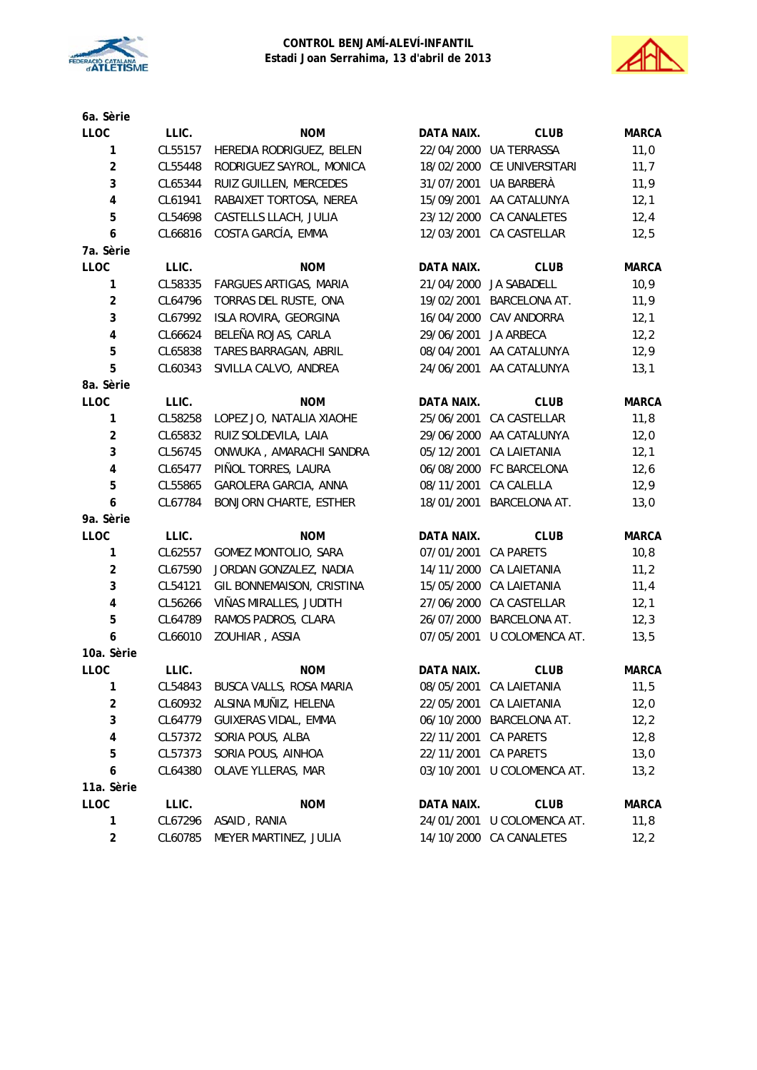



| 6a. Sèrie               |         |                               |                   |                            |              |
|-------------------------|---------|-------------------------------|-------------------|----------------------------|--------------|
| <b>LLOC</b>             | LLIC.   | <b>NOM</b>                    | DATA NAIX.        | <b>CLUB</b>                | <b>MARCA</b> |
| $\mathbf{1}$            | CL55157 | HEREDIA RODRIGUEZ, BELEN      |                   | 22/04/2000 UA TERRASSA     | 11,0         |
| $\overline{\mathbf{c}}$ | CL55448 | RODRIGUEZ SAYROL, MONICA      |                   | 18/02/2000 CE UNIVERSITARI | 11,7         |
| 3                       | CL65344 | RUIZ GUILLEN, MERCEDES        | 31/07/2001        | UA BARBERÀ                 | 11,9         |
| $\pmb{4}$               | CL61941 | RABAIXET TORTOSA, NEREA       | 15/09/2001        | AA CATALUNYA               | 12,1         |
| 5                       | CL54698 | CASTELLS LLACH, JULIA         |                   | 23/12/2000 CA CANALETES    | 12,4         |
| 6                       | CL66816 | COSTA GARCÍA, EMMA            | 12/03/2001        | CA CASTELLAR               | 12,5         |
| 7a. Sèrie               |         |                               |                   |                            |              |
| LLOC                    | LLIC.   | <b>NOM</b>                    | <b>DATA NAIX.</b> | <b>CLUB</b>                | <b>MARCA</b> |
| $\mathbf{1}$            | CL58335 | FARGUES ARTIGAS, MARIA        | 21/04/2000        | JA SABADELL                | 10,9         |
| $\overline{c}$          | CL64796 | TORRAS DEL RUSTE, ONA         | 19/02/2001        | <b>BARCELONA AT.</b>       | 11,9         |
| 3                       | CL67992 | ISLA ROVIRA, GEORGINA         |                   | 16/04/2000 CAV ANDORRA     | 12,1         |
| $\pmb{4}$               | CL66624 | BELEÑA ROJAS, CARLA           | 29/06/2001        | JA ARBECA                  | 12,2         |
| 5                       | CL65838 | TARES BARRAGAN, ABRIL         | 08/04/2001        | AA CATALUNYA               | 12,9         |
| 5                       | CL60343 | SIVILLA CALVO, ANDREA         |                   | 24/06/2001 AA CATALUNYA    | 13,1         |
| 8a. Sèrie               |         |                               |                   |                            |              |
| LLOC                    | LLIC.   | <b>NOM</b>                    | DATA NAIX.        | <b>CLUB</b>                | <b>MARCA</b> |
| $\mathbf{1}$            | CL58258 | LOPEZ JO, NATALIA XIAOHE      | 25/06/2001        | CA CASTELLAR               | 11,8         |
| $\overline{c}$          | CL65832 | RUIZ SOLDEVILA, LAIA          | 29/06/2000        | AA CATALUNYA               | 12,0         |
| 3                       | CL56745 | ONWUKA, AMARACHI SANDRA       | 05/12/2001        | <b>CA LAIETANIA</b>        | 12,1         |
| $\pmb{4}$               | CL65477 | PIÑOL TORRES, LAURA           |                   | 06/08/2000 FC BARCELONA    | 12,6         |
| 5                       | CL55865 | GAROLERA GARCIA, ANNA         | 08/11/2001        | CA CALELLA                 | 12,9         |
| 6                       | CL67784 | <b>BONJORN CHARTE, ESTHER</b> | 18/01/2001        | BARCELONA AT.              | 13,0         |
| 9a. Sèrie               |         |                               |                   |                            |              |
| LLOC                    | LLIC.   | <b>NOM</b>                    | DATA NAIX.        | <b>CLUB</b>                | <b>MARCA</b> |
| $\mathbf{1}$            | CL62557 | GOMEZ MONTOLIO, SARA          | 07/01/2001        | <b>CA PARETS</b>           | 10, 8        |
| $\overline{\mathbf{c}}$ | CL67590 | JORDAN GONZALEZ, NADIA        | 14/11/2000        | CA LAIETANIA               | 11,2         |
| 3                       | CL54121 | GIL BONNEMAISON, CRISTINA     | 15/05/2000        | CA LAIETANIA               | 11,4         |
| $\pmb{4}$               | CL56266 | VIÑAS MIRALLES, JUDITH        | 27/06/2000        | CA CASTELLAR               | 12,1         |
| 5                       | CL64789 | RAMOS PADROS, CLARA           | 26/07/2000        | BARCELONA AT.              | 12,3         |
| 6                       | CL66010 | ZOUHIAR, ASSIA                | 07/05/2001        | U COLOMENCA AT.            | 13,5         |
| 10a. Sèrie              |         |                               |                   |                            |              |
| LLOC                    | LLIC.   | <b>NOM</b>                    | DATA NAIX.        | <b>CLUB</b>                | <b>MARCA</b> |
| 1                       | CL54843 | BUSCA VALLS, ROSA MARIA       | 08/05/2001        | CA LAIETANIA               | 11,5         |
| $\overline{\mathbf{c}}$ | CL60932 | ALSINA MUÑIZ, HELENA          | 22/05/2001        | <b>CA LAIETANIA</b>        | 12,0         |
| 3                       | CL64779 | GUIXERAS VIDAL, EMMA          | 06/10/2000        | BARCELONA AT.              | 12,2         |
| 4                       | CL57372 | SORIA POUS, ALBA              | 22/11/2001        | CA PARETS                  | 12,8         |
| 5                       | CL57373 | SORIA POUS, AINHOA            | 22/11/2001        | <b>CA PARETS</b>           | 13,0         |
| 6                       | CL64380 | OLAVE YLLERAS, MAR            | 03/10/2001        | U COLOMENCA AT.            | 13,2         |
| 11a. Sèrie              |         |                               |                   |                            |              |
| LLOC                    | LLIC.   | <b>NOM</b>                    | DATA NAIX.        | <b>CLUB</b>                | <b>MARCA</b> |
| 1                       | CL67296 | ASAID, RANIA                  | 24/01/2001        | U COLOMENCA AT.            | 11,8         |
| $\overline{\mathbf{c}}$ | CL60785 | MEYER MARTINEZ, JULIA         | 14/10/2000        | CA CANALETES               | 12,2         |
|                         |         |                               |                   |                            |              |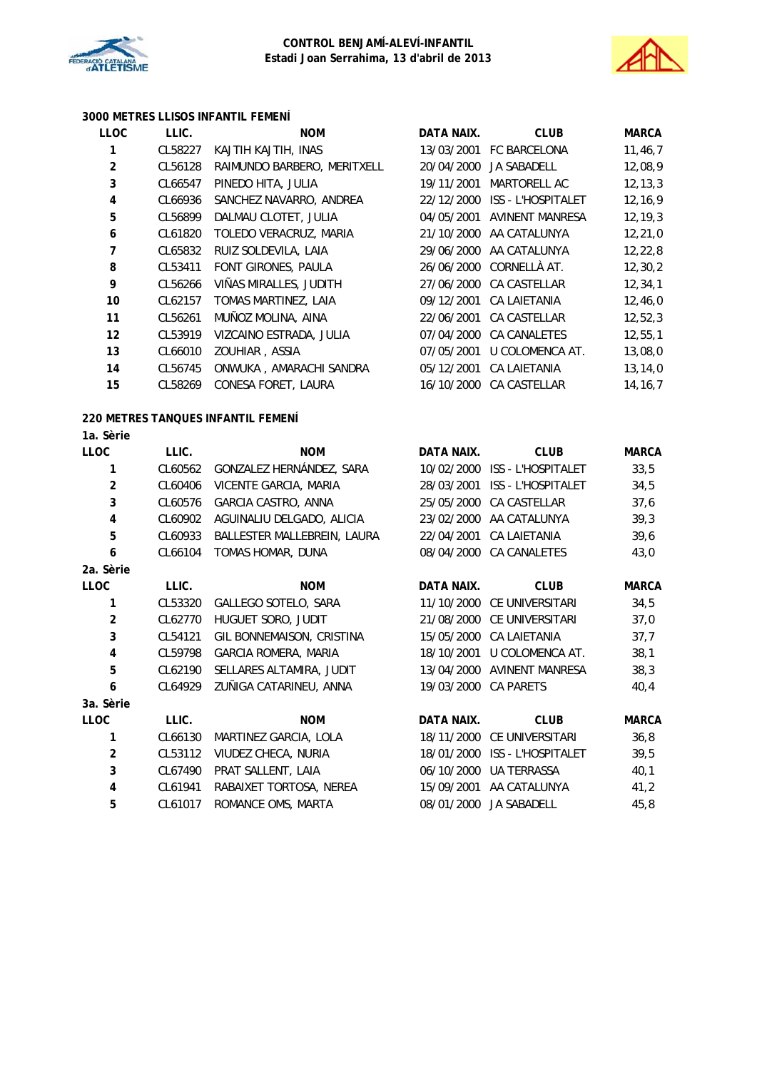



## **3000 METRES LLISOS INFANTIL FEMENÍ**

| LLOC                    | LLIC.   | <b>NOM</b>                         | DATA NAIX. | <b>CLUB</b>                   | <b>MARCA</b> |
|-------------------------|---------|------------------------------------|------------|-------------------------------|--------------|
| 1                       | CL58227 | KAJTIH KAJTIH, INAS                |            | 13/03/2001 FC BARCELONA       | 11, 46, 7    |
| $\overline{\mathbf{c}}$ | CL56128 | RAIMUNDO BARBERO, MERITXELL        | 20/04/2000 | JA SABADELL                   | 12,08,9      |
| 3                       | CL66547 | PINEDO HITA, JULIA                 | 19/11/2001 | MARTORELL AC                  | 12, 13, 3    |
| $\overline{\mathbf{4}}$ | CL66936 | SANCHEZ NAVARRO, ANDREA            |            | 22/12/2000 ISS - L'HOSPITALET | 12, 16, 9    |
| 5                       | CL56899 | DALMAU CLOTET, JULIA               | 04/05/2001 | <b>AVINENT MANRESA</b>        | 12, 19, 3    |
| 6                       | CL61820 | TOLEDO VERACRUZ, MARIA             | 21/10/2000 | AA CATALUNYA                  | 12, 21, 0    |
| 7                       | CL65832 | RUIZ SOLDEVILA, LAIA               | 29/06/2000 | AA CATALUNYA                  | 12, 22, 8    |
| 8                       | CL53411 | FONT GIRONES, PAULA                | 26/06/2000 | CORNELLÀ AT.                  | 12, 30, 2    |
| 9                       | CL56266 | VIÑAS MIRALLES, JUDITH             | 27/06/2000 | CA CASTELLAR                  | 12, 34, 1    |
| 10                      | CL62157 | TOMAS MARTINEZ, LAIA               | 09/12/2001 | <b>CA LAIETANIA</b>           | 12,46,0      |
| 11                      | CL56261 | MUÑOZ MOLINA, AINA                 | 22/06/2001 | CA CASTELLAR                  | 12,52,3      |
| 12                      | CL53919 | VIZCAINO ESTRADA, JULIA            | 07/04/2000 | CA CANALETES                  | 12, 55, 1    |
| 13                      | CL66010 | ZOUHIAR, ASSIA                     | 07/05/2001 | U COLOMENCA AT.               | 13,08,0      |
| 14                      | CL56745 | ONWUKA, AMARACHI SANDRA            | 05/12/2001 | CA LAIETANIA                  | 13, 14, 0    |
| 15                      | CL58269 | CONESA FORET, LAURA                | 16/10/2000 | CA CASTELLAR                  | 14, 16, 7    |
|                         |         | 220 METRES TANQUES INFANTIL FEMENÍ |            |                               |              |
| 1a. Sèrie               |         |                                    |            |                               |              |
| LLOC                    | LLIC.   | <b>NOM</b>                         | DATA NAIX. | <b>CLUB</b>                   | <b>MARCA</b> |
| $\mathbf{1}$            | CL60562 | GONZALEZ HERNÁNDEZ, SARA           |            | 10/02/2000 ISS - L'HOSPITALET | 33,5         |
| $\overline{\mathbf{c}}$ | CL60406 | VICENTE GARCIA, MARIA              | 28/03/2001 | ISS - L'HOSPITALET            | 34,5         |
| 3                       | CL60576 | GARCIA CASTRO, ANNA                | 25/05/2000 | CA CASTELLAR                  | 37,6         |
| 4                       | CL60902 | AGUINALIU DELGADO, ALICIA          |            | 23/02/2000 AA CATALUNYA       | 39,3         |
| 5                       | CL60933 | BALLESTER MALLEBREIN, LAURA        | 22/04/2001 | CA LAIETANIA                  | 39,6         |
| 6                       | CL66104 | TOMAS HOMAR, DUNA                  | 08/04/2000 | CA CANALETES                  | 43,0         |
| 2a. Sèrie               |         |                                    |            |                               |              |
| <b>LLOC</b>             | LLIC.   | <b>NOM</b>                         | DATA NAIX. | <b>CLUB</b>                   | <b>MARCA</b> |
| 1                       | CL53320 | GALLEGO SOTELO, SARA               | 11/10/2000 | CE UNIVERSITARI               | 34,5         |
| $\overline{2}$          | CL62770 | HUGUET SORO, JUDIT                 |            | 21/08/2000 CE UNIVERSITARI    | 37,0         |
| 3                       | CL54121 | GIL BONNEMAISON, CRISTINA          |            | 15/05/2000 CA LAIETANIA       | 37,7         |
| 4                       | CL59798 | GARCIA ROMERA, MARIA               | 18/10/2001 | U COLOMENCA AT.               | 38,1         |
| 5                       | CL62190 | SELLARES ALTAMIRA, JUDIT           | 13/04/2000 | <b>AVINENT MANRESA</b>        | 38,3         |
| 6                       | CL64929 | ZUÑIGA CATARINEU, ANNA             | 19/03/2000 | <b>CA PARETS</b>              | 40,4         |
| 3a. Sèrie               |         |                                    |            |                               |              |
| LLOC                    | LLIC.   | <b>NOM</b>                         | DATA NAIX. | <b>CLUB</b>                   | <b>MARCA</b> |
| 1                       | CL66130 | MARTINEZ GARCIA, LOLA              | 18/11/2000 | CE UNIVERSITARI               | 36,8         |
| $\overline{\mathbf{c}}$ | CL53112 | VIUDEZ CHECA, NURIA                | 18/01/2000 | ISS - L'HOSPITALET            | 39,5         |
| 3                       | CL67490 | PRAT SALLENT, LAIA                 | 06/10/2000 | UA TERRASSA                   | 40,1         |
| 4                       | CL61941 | RABAIXET TORTOSA, NEREA            | 15/09/2001 | AA CATALUNYA                  | 41,2         |
| 5                       | CL61017 | ROMANCE OMS, MARTA                 | 08/01/2000 | JA SABADELL                   | 45,8         |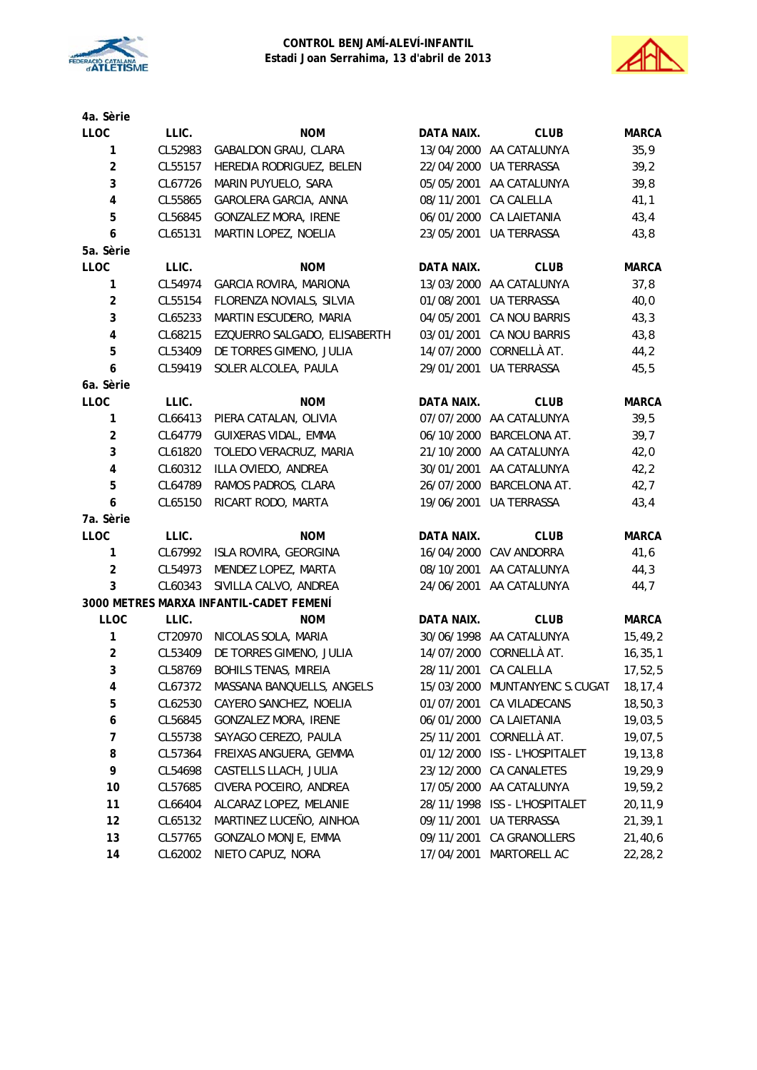



| 4a. Sèrie               |         |                                         |                   |                               |              |
|-------------------------|---------|-----------------------------------------|-------------------|-------------------------------|--------------|
| <b>LLOC</b>             | LLIC.   | <b>NOM</b>                              | DATA NAIX.        | <b>CLUB</b>                   | <b>MARCA</b> |
| $\mathbf{1}$            | CL52983 | GABALDON GRAU, CLARA                    |                   | 13/04/2000 AA CATALUNYA       | 35,9         |
| $\overline{a}$          | CL55157 | HEREDIA RODRIGUEZ, BELEN                |                   | 22/04/2000 UA TERRASSA        | 39,2         |
| 3                       | CL67726 | MARIN PUYUELO, SARA                     |                   | 05/05/2001 AA CATALUNYA       | 39,8         |
| $\pmb{4}$               | CL55865 | GAROLERA GARCIA, ANNA                   | 08/11/2001        | <b>CA CALELLA</b>             | 41,1         |
| 5                       | CL56845 | GONZALEZ MORA, IRENE                    |                   | 06/01/2000 CA LAIETANIA       | 43,4         |
| 6                       | CL65131 | MARTIN LOPEZ, NOELIA                    |                   | 23/05/2001 UA TERRASSA        | 43,8         |
| 5a. Sèrie               |         |                                         |                   |                               |              |
| LLOC                    | LLIC.   | <b>NOM</b>                              | DATA NAIX.        | <b>CLUB</b>                   | <b>MARCA</b> |
| 1                       | CL54974 | GARCIA ROVIRA, MARIONA                  |                   | 13/03/2000 AA CATALUNYA       | 37,8         |
| $\boldsymbol{2}$        | CL55154 | FLORENZA NOVIALS, SILVIA                | 01/08/2001        | <b>UA TERRASSA</b>            | 40,0         |
| 3                       | CL65233 | MARTIN ESCUDERO, MARIA                  |                   | 04/05/2001 CA NOU BARRIS      | 43,3         |
| $\overline{\mathbf{4}}$ | CL68215 | EZQUERRO SALGADO, ELISABERTH            | 03/01/2001        | CA NOU BARRIS                 | 43,8         |
| 5                       | CL53409 | DE TORRES GIMENO, JULIA                 |                   | 14/07/2000 CORNELLÀ AT.       | 44,2         |
| 6                       | CL59419 | SOLER ALCOLEA, PAULA                    | 29/01/2001        | UA TERRASSA                   | 45,5         |
| 6a. Sèrie               |         |                                         |                   |                               |              |
| LLOC                    | LLIC.   | <b>NOM</b>                              | <b>DATA NAIX.</b> | <b>CLUB</b>                   | <b>MARCA</b> |
| 1                       | CL66413 | PIERA CATALAN, OLIVIA                   |                   | 07/07/2000 AA CATALUNYA       | 39,5         |
| $\boldsymbol{2}$        | CL64779 | GUIXERAS VIDAL, EMMA                    | 06/10/2000        | BARCELONA AT.                 | 39,7         |
| 3                       | CL61820 | TOLEDO VERACRUZ, MARIA                  | 21/10/2000        | AA CATALUNYA                  | 42,0         |
| $\pmb{4}$               | CL60312 | ILLA OVIEDO, ANDREA                     |                   | 30/01/2001 AA CATALUNYA       | 42,2         |
| 5                       | CL64789 | RAMOS PADROS, CLARA                     |                   | 26/07/2000 BARCELONA AT.      | 42,7         |
| 6                       | CL65150 | RICART RODO, MARTA                      | 19/06/2001        | UA TERRASSA                   | 43,4         |
| 7a. Sèrie               |         |                                         |                   |                               |              |
| LLOC                    | LLIC.   | <b>NOM</b>                              | DATA NAIX.        | <b>CLUB</b>                   | <b>MARCA</b> |
| $\mathbf{1}$            | CL67992 | ISLA ROVIRA, GEORGINA                   |                   | 16/04/2000 CAV ANDORRA        | 41,6         |
| $\boldsymbol{2}$        | CL54973 | MENDEZ LOPEZ, MARTA                     |                   | 08/10/2001 AA CATALUNYA       | 44,3         |
| 3                       | CL60343 | SIVILLA CALVO, ANDREA                   | 24/06/2001        | AA CATALUNYA                  | 44,7         |
|                         |         | 3000 METRES MARXA INFANTIL-CADET FEMENÍ |                   |                               |              |
| <b>LLOC</b>             | LLIC.   | <b>NOM</b>                              | DATA NAIX.        | <b>CLUB</b>                   | <b>MARCA</b> |
| $\mathbf{1}$            | CT20970 | NICOLAS SOLA, MARIA                     |                   | 30/06/1998 AA CATALUNYA       | 15,49,2      |
| $\boldsymbol{2}$        | CL53409 | DE TORRES GIMENO, JULIA                 |                   | 14/07/2000 CORNELLÀ AT.       | 16, 35, 1    |
| 3                       | CL58769 | <b>BOHILS TENAS, MIREIA</b>             |                   | 28/11/2001 CA CALELLA         | 17,52,5      |
| 4                       | CL67372 | MASSANA BANQUELLS, ANGELS               | 15/03/2000        | MUNTANYENC S.CUGAT            | 18, 17, 4    |
| 5                       | CL62530 | CAYERO SANCHEZ, NOELIA                  | 01/07/2001        | CA VILADECANS                 | 18, 50, 3    |
| 6                       | CL56845 | GONZALEZ MORA, IRENE                    |                   | 06/01/2000 CA LAIETANIA       | 19,03,5      |
| $\overline{7}$          | CL55738 | SAYAGO CEREZO, PAULA                    | 25/11/2001        | CORNELLÀ AT.                  | 19,07,5      |
| 8                       | CL57364 | FREIXAS ANGUERA, GEMMA                  | 01/12/2000        | ISS - L'HOSPITALET            | 19, 13, 8    |
| 9                       | CL54698 | CASTELLS LLACH, JULIA                   | 23/12/2000        | CA CANALETES                  | 19,29,9      |
| 10                      | CL57685 | CIVERA POCEIRO, ANDREA                  |                   | 17/05/2000 AA CATALUNYA       | 19,59,2      |
| 11                      | CL66404 | ALCARAZ LOPEZ, MELANIE                  |                   | 28/11/1998 ISS - L'HOSPITALET | 20,11,9      |
| 12                      | CL65132 | MARTINEZ LUCEÑO, AINHOA                 | 09/11/2001        | UA TERRASSA                   | 21,39,1      |
| 13                      | CL57765 | GONZALO MONJE, EMMA                     | 09/11/2001        | CA GRANOLLERS                 | 21,40,6      |
| 14                      | CL62002 | NIETO CAPUZ, NORA                       | 17/04/2001        | MARTORELL AC                  | 22,28,2      |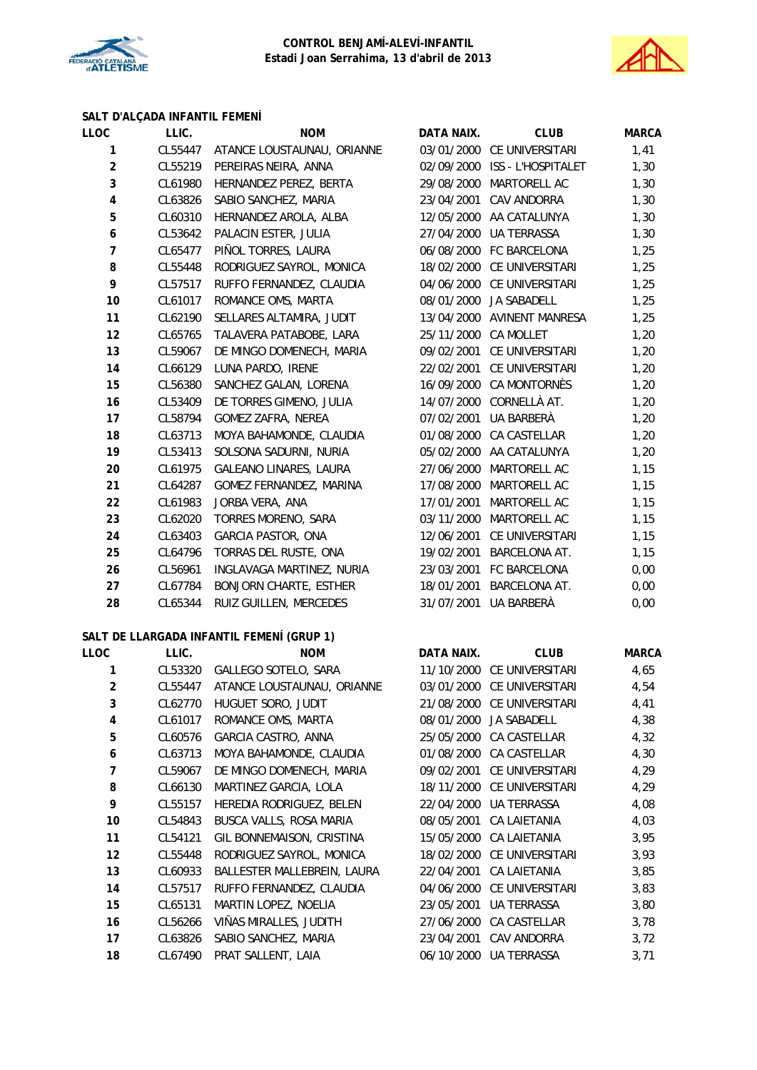



# **SALT D'ALÇADA INFANTIL FEMENÍ**

| LLOC                    | LLIC.   | <b>NOM</b>                    | DATA NAIX.           | <b>CLUB</b>                   | <b>MARCA</b> |
|-------------------------|---------|-------------------------------|----------------------|-------------------------------|--------------|
| 1                       | CL55447 | ATANCE LOUSTAUNAU, ORIANNE    |                      | 03/01/2000 CE UNIVERSITARI    | 1,41         |
| $\overline{a}$          | CL55219 | PEREIRAS NEIRA, ANNA          |                      | 02/09/2000 ISS - L'HOSPITALET | 1,30         |
| 3                       | CL61980 | HERNANDEZ PEREZ, BERTA        | 29/08/2000           | MARTORELL AC                  | 1,30         |
| $\overline{\mathbf{4}}$ | CL63826 | SABIO SANCHEZ, MARIA          | 23/04/2001           | CAV ANDORRA                   | 1,30         |
| 5                       | CL60310 | HERNANDEZ AROLA, ALBA         |                      | 12/05/2000 AA CATALUNYA       | 1,30         |
| 6                       | CL53642 | PALACIN ESTER, JULIA          | 27/04/2000           | UA TERRASSA                   | 1,30         |
| $\overline{7}$          | CL65477 | PIÑOL TORRES, LAURA           |                      | 06/08/2000 FC BARCELONA       | 1,25         |
| 8                       | CL55448 | RODRIGUEZ SAYROL, MONICA      |                      | 18/02/2000 CE UNIVERSITARI    | 1,25         |
| 9                       | CL57517 | RUFFO FERNANDEZ, CLAUDIA      |                      | 04/06/2000 CE UNIVERSITARI    | 1,25         |
| 10                      | CL61017 | ROMANCE OMS, MARTA            | 08/01/2000           | <b>JA SABADELL</b>            | 1,25         |
| 11                      | CL62190 | SELLARES ALTAMIRA, JUDIT      |                      | 13/04/2000 AVINENT MANRESA    | 1,25         |
| 12                      | CL65765 | TALAVERA PATABOBE, LARA       | 25/11/2000 CA MOLLET |                               | 1,20         |
| 13                      | CL59067 | DE MINGO DOMENECH, MARIA      | 09/02/2001           | CE UNIVERSITARI               | 1,20         |
| 14                      | CL66129 | LUNA PARDO, IRENE             |                      | 22/02/2001 CE UNIVERSITARI    | 1,20         |
| 15                      | CL56380 | SANCHEZ GALAN, LORENA         |                      | 16/09/2000 CA MONTORNÈS       | 1,20         |
| 16                      | CL53409 | DE TORRES GIMENO, JULIA       |                      | 14/07/2000 CORNELLÀ AT.       | 1,20         |
| 17                      | CL58794 | GOMEZ ZAFRA, NEREA            | 07/02/2001           | UA BARBERÀ                    | 1,20         |
| 18                      | CL63713 | MOYA BAHAMONDE, CLAUDIA       | 01/08/2000           | CA CASTELLAR                  | 1,20         |
| 19                      | CL53413 | SOLSONA SADURNI, NURIA        |                      | 05/02/2000 AA CATALUNYA       | 1,20         |
| 20                      | CL61975 | GALEANO LINARES, LAURA        | 27/06/2000           | MARTORELL AC                  | 1,15         |
| 21                      | CL64287 | GOMEZ FERNANDEZ, MARINA       | 17/08/2000           | MARTORELL AC                  | 1,15         |
| 22                      | CL61983 | JORBA VERA, ANA               | 17/01/2001           | MARTORELL AC                  | 1,15         |
| 23                      | CL62020 | TORRES MORENO, SARA           | 03/11/2000           | MARTORELL AC                  | 1,15         |
| 24                      | CL63403 | <b>GARCIA PASTOR, ONA</b>     | 12/06/2001           | CE UNIVERSITARI               | 1,15         |
| 25                      | CL64796 | TORRAS DEL RUSTE, ONA         | 19/02/2001           | <b>BARCELONA AT.</b>          | 1,15         |
| 26                      | CL56961 | INGLAVAGA MARTINEZ, NURIA     |                      | 23/03/2001 FC BARCELONA       | 0,00         |
| 27                      | CL67784 | <b>BONJORN CHARTE, ESTHER</b> | 18/01/2001           | <b>BARCELONA AT.</b>          | 0,00         |
| 28                      | CL65344 | RUIZ GUILLEN, MERCEDES        |                      | 31/07/2001 UA BARBERÀ         | 0,00         |
|                         |         |                               |                      |                               |              |

## **SALT DE LLARGADA INFANTIL FEMENÍ (GRUP 1)**

| LLOC           | LLIC.   | <b>NOM</b>                  | DATA NAIX. | <b>CLUB</b>                | <b>MARCA</b> |
|----------------|---------|-----------------------------|------------|----------------------------|--------------|
|                | CL53320 | GALLEGO SOTELO, SARA        |            | 11/10/2000 CE UNIVERSITARI | 4,65         |
| $\overline{2}$ | CL55447 | ATANCE LOUSTAUNAU, ORIANNE  |            | 03/01/2000 CE UNIVERSITARI | 4,54         |
| 3              | CL62770 | HUGUET SORO, JUDIT          |            | 21/08/2000 CE UNIVERSITARI | 4,41         |
| 4              | CL61017 | ROMANCE OMS, MARTA          | 08/01/2000 | JA SABADELL                | 4,38         |
| 5              | CL60576 | GARCIA CASTRO, ANNA         |            | 25/05/2000 CA CASTELLAR    | 4,32         |
| 6              | CL63713 | MOYA BAHAMONDE, CLAUDIA     | 01/08/2000 | CA CASTELLAR               | 4,30         |
| 7              | CL59067 | DE MINGO DOMENECH, MARIA    | 09/02/2001 | CE UNIVERSITARI            | 4,29         |
| 8              | CL66130 | MARTINEZ GARCIA, LOLA       |            | 18/11/2000 CE UNIVERSITARI | 4,29         |
| 9              | CL55157 | HEREDIA RODRIGUEZ, BELEN    | 22/04/2000 | <b>UA TERRASSA</b>         | 4,08         |
| 10             | CL54843 | BUSCA VALLS, ROSA MARIA     | 08/05/2001 | CA LAIETANIA               | 4,03         |
| 11             | CL54121 | GIL BONNEMAISON, CRISTINA   |            | 15/05/2000 CA LAIETANIA    | 3,95         |
| 12             | CL55448 | RODRIGUEZ SAYROL, MONICA    |            | 18/02/2000 CE UNIVERSITARI | 3,93         |
| 13             | CL60933 | BALLESTER MALLEBREIN, LAURA | 22/04/2001 | <b>CA LAIETANIA</b>        | 3,85         |
| 14             | CL57517 | RUFFO FERNANDEZ, CLAUDIA    | 04/06/2000 | CE UNIVERSITARI            | 3,83         |
| 15             | CL65131 | MARTIN LOPEZ, NOELIA        | 23/05/2001 | UA TERRASSA                | 3,80         |
| 16             | CL56266 | VIÑAS MIRALLES, JUDITH      | 27/06/2000 | CA CASTELLAR               | 3,78         |
| 17             | CL63826 | SABIO SANCHEZ, MARIA        | 23/04/2001 | CAV ANDORRA                | 3,72         |
| 18             | CL67490 | PRAT SALLENT, LAIA          | 06/10/2000 | UA TERRASSA                | 3,71         |
|                |         |                             |            |                            |              |

| DATA NAIX.           | CLUB                          | <b>MARCA</b> |
|----------------------|-------------------------------|--------------|
|                      | 03/01/2000 CE UNIVERSITARI    | 1,41         |
|                      | 02/09/2000 ISS - L'HOSPITALET | 1,30         |
|                      | 29/08/2000 MARTORELL AC       | 1,30         |
|                      | 23/04/2001 CAV ANDORRA        | 1,30         |
| 12/05/2000           | AA CATALUNYA                  | 1,30         |
|                      | 27/04/2000 UA TERRASSA        | 1,30         |
|                      | 06/08/2000 FC BARCELONA       | 1,25         |
|                      | 18/02/2000 CE UNIVERSITARI    | 1,25         |
|                      | 04/06/2000 CE UNIVERSITARI    | 1,25         |
|                      | 08/01/2000 JA SABADELL        | 1,25         |
|                      | 13/04/2000 AVINENT MANRESA    | 1,25         |
| 25/11/2000 CA MOLLET |                               | 1,20         |
|                      | 09/02/2001 CE UNIVERSITARI    | 1,20         |
|                      | 22/02/2001 CE UNIVERSITARI    | 1,20         |
|                      | 16/09/2000 CA MONTORNÈS       | 1,20         |
|                      | 14/07/2000 CORNELLÀ AT.       | 1,20         |
|                      | 07/02/2001 UA BARBERÀ         | 1,20         |
|                      | 01/08/2000 CA CASTELLAR       | 1,20         |
| 05/02/2000           | AA CATALUNYA                  | 1,20         |
|                      | 27/06/2000 MARTORELL AC       | 1,15         |
| 17/08/2000           | <b>MARTORELL AC</b>           | 1,15         |
|                      | 17/01/2001 MARTORELL AC       | 1,15         |
|                      | 03/11/2000 MARTORELL AC       | 1,15         |
|                      | 12/06/2001 CE UNIVERSITARI    | 1,15         |
|                      | 19/02/2001 BARCELONA AT.      | 1,15         |
|                      | 23/03/2001 FC BARCELONA       | 0,00         |
|                      | 18/01/2001 BARCELONA AT.      | 0,00         |
| 31/07/2001           | UA BARBERÀ                    | 0,00         |

| DATA NAIX  | CI UB               | <b>MARCA</b> |
|------------|---------------------|--------------|
| 11/10/2000 | CE UNIVERSITARI     | 4,65         |
| 03/01/2000 | CE UNIVERSITARI     | 4,54         |
| 21/08/2000 | CE UNIVERSITARI     | 4,41         |
| 08/01/2000 | <b>JA SABADELL</b>  | 4,38         |
| 25/05/2000 | CA CASTELLAR        | 4,32         |
| 01/08/2000 | CA CASTELLAR        | 4,30         |
| 09/02/2001 | CF UNIVERSITARI     | 4,29         |
| 18/11/2000 | CE UNIVERSITARI     | 4,29         |
| 22/04/2000 | <b>IJA TERRASSA</b> | 4,08         |
| 08/05/2001 | CA LAIFTANIA        | 4,03         |
| 15/05/2000 | CA I AIFTANIA       | 3,95         |
| 18/02/2000 | CE UNIVERSITARI     | 3,93         |
| 22/04/2001 | CA I AIFTANIA       | 3,85         |
| 04/06/2000 | CE UNIVERSITARI     | 3,83         |
| 23/05/2001 | <b>UA TERRASSA</b>  | 3,80         |
| 27/06/2000 | CA CASTELLAR        | 3,78         |
| 23/04/2001 | CAV ANDORRA         | 3,72         |
| 06/10/2000 | UA TERRASSA         | 3,71         |
|            |                     |              |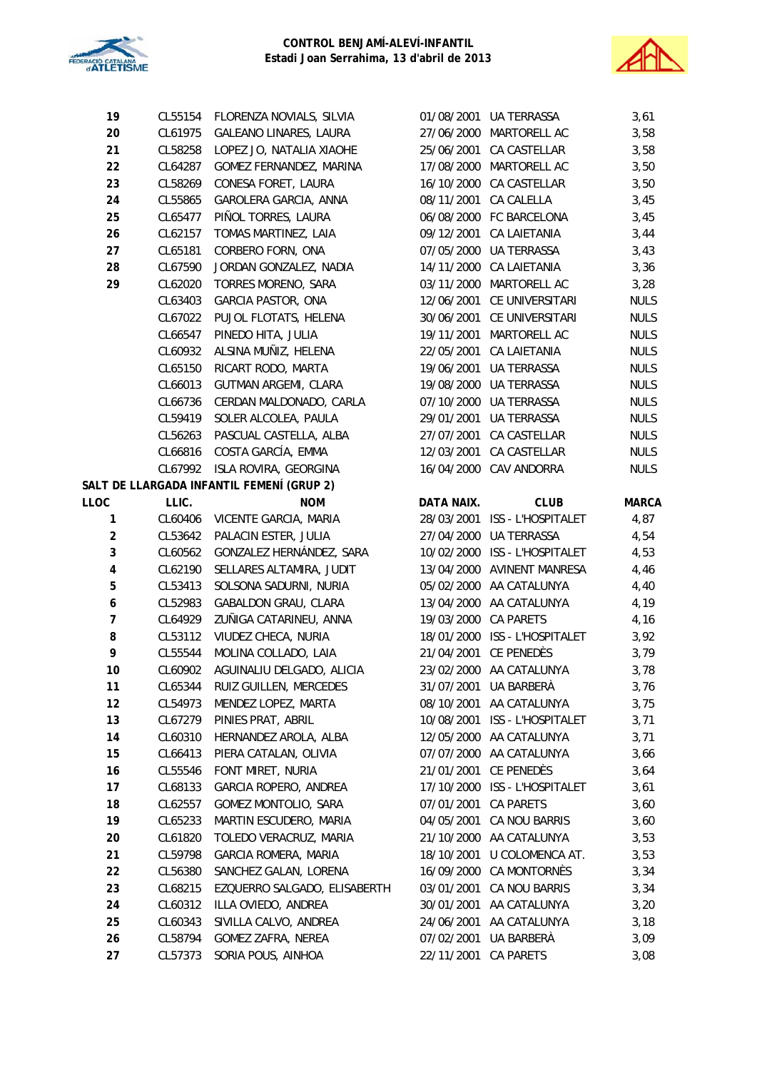



| 19                      | CL55154 | FLORENZA NOVIALS, SILVIA                  |            | 01/08/2001 UA TERRASSA        | 3,61         |
|-------------------------|---------|-------------------------------------------|------------|-------------------------------|--------------|
| 20                      | CL61975 | GALEANO LINARES, LAURA                    | 27/06/2000 | MARTORELL AC                  | 3,58         |
| 21                      | CL58258 | LOPEZ JO, NATALIA XIAOHE                  |            | 25/06/2001 CA CASTELLAR       | 3,58         |
| 22                      | CL64287 | GOMEZ FERNANDEZ, MARINA                   |            | 17/08/2000 MARTORELL AC       | 3,50         |
| 23                      | CL58269 | CONESA FORET, LAURA                       |            | 16/10/2000 CA CASTELLAR       | 3,50         |
| 24                      | CL55865 | GAROLERA GARCIA, ANNA                     | 08/11/2001 | CA CALELLA                    | 3,45         |
| 25                      | CL65477 | PIÑOL TORRES, LAURA                       |            | 06/08/2000 FC BARCELONA       | 3,45         |
| 26                      | CL62157 | TOMAS MARTINEZ, LAIA                      | 09/12/2001 | CA LAIETANIA                  | 3,44         |
| 27                      | CL65181 | CORBERO FORN, ONA                         |            | 07/05/2000 UA TERRASSA        | 3,43         |
| 28                      | CL67590 | JORDAN GONZALEZ, NADIA                    |            | 14/11/2000 CA LAIETANIA       | 3,36         |
| 29                      | CL62020 | TORRES MORENO, SARA                       | 03/11/2000 | MARTORELL AC                  | 3,28         |
|                         | CL63403 | GARCIA PASTOR, ONA                        | 12/06/2001 | CE UNIVERSITARI               | <b>NULS</b>  |
|                         | CL67022 | PUJOL FLOTATS, HELENA                     |            | 30/06/2001 CE UNIVERSITARI    | <b>NULS</b>  |
|                         | CL66547 | PINEDO HITA, JULIA                        |            | 19/11/2001 MARTORELL AC       | <b>NULS</b>  |
|                         | CL60932 | ALSINA MUÑIZ, HELENA                      |            | 22/05/2001 CA LAIETANIA       | <b>NULS</b>  |
|                         | CL65150 | RICART RODO, MARTA                        | 19/06/2001 | UA TERRASSA                   | <b>NULS</b>  |
|                         | CL66013 | <b>GUTMAN ARGEMI, CLARA</b>               | 19/08/2000 | UA TERRASSA                   | <b>NULS</b>  |
|                         | CL66736 | CERDAN MALDONADO, CARLA                   | 07/10/2000 | <b>UA TERRASSA</b>            | <b>NULS</b>  |
|                         | CL59419 | SOLER ALCOLEA, PAULA                      | 29/01/2001 | UA TERRASSA                   | <b>NULS</b>  |
|                         | CL56263 | PASCUAL CASTELLA, ALBA                    | 27/07/2001 | CA CASTELLAR                  | <b>NULS</b>  |
|                         | CL66816 | COSTA GARCÍA, EMMA                        | 12/03/2001 | CA CASTELLAR                  | <b>NULS</b>  |
|                         | CL67992 | ISLA ROVIRA, GEORGINA                     |            | 16/04/2000 CAV ANDORRA        | <b>NULS</b>  |
|                         |         | SALT DE LLARGADA INFANTIL FEMENÍ (GRUP 2) |            |                               |              |
| LLOC                    | LLIC.   | <b>NOM</b>                                | DATA NAIX. | <b>CLUB</b>                   | <b>MARCA</b> |
| $\mathbf{1}$            | CL60406 | VICENTE GARCIA, MARIA                     |            | 28/03/2001 ISS - L'HOSPITALET | 4,87         |
| $\overline{\mathbf{c}}$ | CL53642 | PALACIN ESTER, JULIA                      | 27/04/2000 | UA TERRASSA                   | 4,54         |
| $\mathsf 3$             | CL60562 | GONZALEZ HERNÁNDEZ, SARA                  | 10/02/2000 | ISS - L'HOSPITALET            | 4,53         |
| $\overline{\mathbf{4}}$ | CL62190 | SELLARES ALTAMIRA, JUDIT                  |            | 13/04/2000 AVINENT MANRESA    | 4,46         |
| 5                       | CL53413 | SOLSONA SADURNI, NURIA                    |            | 05/02/2000 AA CATALUNYA       | 4,40         |
| 6                       | CL52983 | GABALDON GRAU, CLARA                      |            | 13/04/2000 AA CATALUNYA       | 4,19         |
| $\overline{7}$          | CL64929 | ZUÑIGA CATARINEU, ANNA                    | 19/03/2000 | <b>CA PARETS</b>              | 4,16         |
| 8                       | CL53112 | VIUDEZ CHECA, NURIA                       |            | 18/01/2000 ISS - L'HOSPITALET | 3,92         |
| 9                       | CL55544 | MOLINA COLLADO, LAIA                      |            | 21/04/2001 CE PENEDÈS         | 3,79         |
| 10                      | CL60902 | AGUINALIU DELGADO, ALICIA                 |            | 23/02/2000 AA CATALUNYA       | 3,78         |
| 11                      | CL65344 | RUIZ GUILLEN, MERCEDES                    |            | 31/07/2001 UA BARBERA         | 3,76         |
| 12                      | CL54973 | MENDEZ LOPEZ, MARTA                       | 08/10/2001 | AA CATALUNYA                  | 3,75         |
| 13                      | CL67279 | PINIES PRAT, ABRIL                        | 10/08/2001 | ISS - L'HOSPITALET            | 3,71         |
| 14                      | CL60310 | HERNANDEZ AROLA, ALBA                     |            | 12/05/2000 AA CATALUNYA       | 3,71         |
| 15                      | CL66413 | PIERA CATALAN, OLIVIA                     |            | 07/07/2000 AA CATALUNYA       | 3,66         |
| 16                      | CL55546 | FONT MIRET, NURIA                         | 21/01/2001 | CE PENEDÈS                    | 3,64         |
| 17                      | CL68133 | GARCIA ROPERO, ANDREA                     | 17/10/2000 | ISS - L'HOSPITALET            | 3,61         |
| 18                      | CL62557 | GOMEZ MONTOLIO, SARA                      | 07/01/2001 | CA PARETS                     | 3,60         |
| 19                      | CL65233 | MARTIN ESCUDERO, MARIA                    | 04/05/2001 | CA NOU BARRIS                 | 3,60         |
| 20                      | CL61820 | TOLEDO VERACRUZ, MARIA                    | 21/10/2000 | AA CATALUNYA                  | 3,53         |
| 21                      | CL59798 | GARCIA ROMERA, MARIA                      | 18/10/2001 | U COLOMENCA AT.               | 3,53         |
| 22                      | CL56380 | SANCHEZ GALAN, LORENA                     | 16/09/2000 | CA MONTORNÉS                  | 3,34         |
| 23                      | CL68215 | EZQUERRO SALGADO, ELISABERTH              | 03/01/2001 | CA NOU BARRIS                 | 3,34         |
| 24                      | CL60312 | ILLA OVIEDO, ANDREA                       |            | 30/01/2001 AA CATALUNYA       | 3,20         |
| 25                      | CL60343 | SIVILLA CALVO, ANDREA                     |            | 24/06/2001 AA CATALUNYA       | 3,18         |
| 26                      | CL58794 | GOMEZ ZAFRA, NEREA                        | 07/02/2001 | UA BARBERÀ                    | 3,09         |
| 27                      | CL57373 | SORIA POUS, AINHOA                        | 22/11/2001 | CA PARETS                     | 3,08         |
|                         |         |                                           |            |                               |              |